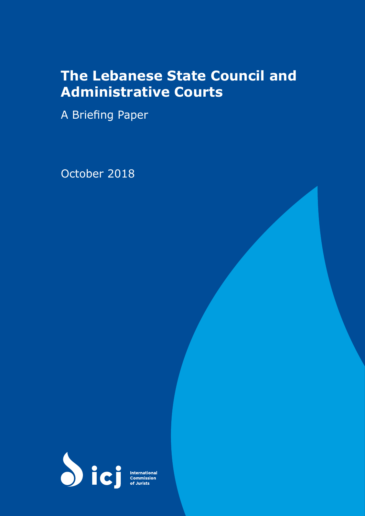# **The Lebanese State Council and Administrative Courts**

A Briefing Paper

October 2018



**International**<br>Commission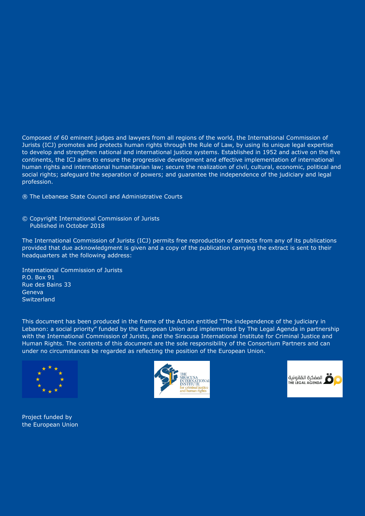Composed of 60 eminent judges and lawyers from all regions of the world, the International Commission of Jurists (ICJ) promotes and protects human rights through the Rule of Law, by using its unique legal expertise to develop and strengthen national and international justice systems. Established in 1952 and active on the five continents, the ICJ aims to ensure the progressive development and effective implementation of international human rights and international humanitarian law; secure the realization of civil, cultural, economic, political and social rights; safeguard the separation of powers; and guarantee the independence of the judiciary and legal profession.

® The Lebanese State Council and Administrative Courts

© Copyright International Commission of Jurists Published in October 2018

The International Commission of Jurists (ICJ) permits free reproduction of extracts from any of its publications provided that due acknowledgment is given and a copy of the publication carrying the extract is sent to their headquarters at the following address:

International Commission of Jurists P.O. Box 91 Rue des Bains 33 Geneva Switzerland

This document has been produced in the frame of the Action entitled "The independence of the judiciary in Lebanon: a social priority" funded by the European Union and implemented by The Legal Agenda in partnership with the International Commission of Jurists, and the Siracusa International Institute for Criminal Justice and Human Rights. The contents of this document are the sole responsibility of the Consortium Partners and can under no circumstances be regarded as reflecting the position of the European Union.



Project funded by the European Union



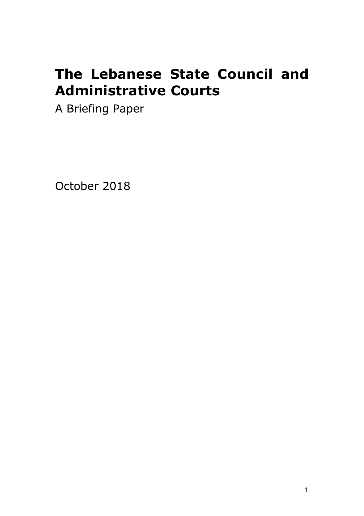# **The Lebanese State Council and Administrative Courts**

A Briefing Paper

October 2018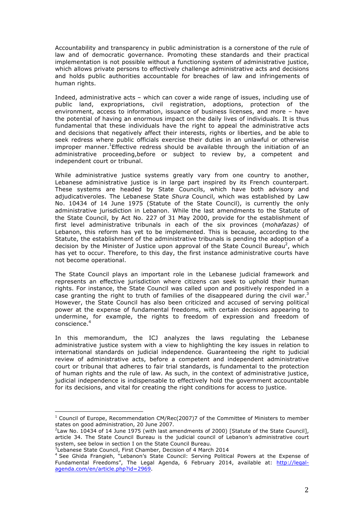Accountability and transparency in public administration is a cornerstone of the rule of law and of democratic governance. Promoting these standards and their practical implementation is not possible without a functioning system of administrative justice, which allows private persons to effectively challenge administrative acts and decisions and holds public authorities accountable for breaches of law and infringements of human rights.

Indeed, administrative acts – which can cover a wide range of issues, including use of public land, expropriations, civil registration, adoptions, protection of the environment, access to information, issuance of business licenses, and more – have the potential of having an enormous impact on the daily lives of individuals. It is thus fundamental that these individuals have the right to appeal the administrative acts and decisions that negatively affect their interests, rights or liberties, and be able to seek redress where public officials exercise their duties in an unlawful or otherwise improper manner.<sup>1</sup>Effective redress should be available through the initiation of an administrative proceeding,before or subject to review by, a competent and independent court or tribunal.

While administrative justice systems greatly vary from one country to another, Lebanese administrative justice is in large part inspired by its French counterpart. These systems are headed by State Councils, which have both advisory and adjudicativeroles. The Lebanese State *Shura* Council, which was established by Law No. 10434 of 14 June 1975 (Statute of the State Council), is currently the only administrative jurisdiction in Lebanon. While the last amendments to the Statute of the State Council, by Act No. 227 of 31 May 2000, provide for the establishment of first level administrative tribunals in each of the six provinces (*mohafazas)* of Lebanon, this reform has yet to be implemented. This is because, according to the Statute, the establishment of the administrative tribunals is pending the adoption of a decision by the Minister of Justice upon approval of the State Council Bureau<sup>2</sup>, which has yet to occur. Therefore, to this day, the first instance administrative courts have not become operational.

The State Council plays an important role in the Lebanese judicial framework and represents an effective jurisdiction where citizens can seek to uphold their human rights. For instance, the State Council was called upon and positively responded in a case granting the right to truth of families of the disappeared during the civil war.<sup>3</sup> However, the State Council has also been criticized and accused of serving political power at the expense of fundamental freedoms, with certain decisions appearing to undermine, for example, the rights to freedom of expression and freedom of conscience.

In this memorandum, the ICJ analyzes the laws regulating the Lebanese administrative justice system with a view to highlighting the key issues in relation to international standards on judicial independence. Guaranteeing the right to judicial review of administrative acts, before a competent and independent administrative court or tribunal that adheres to fair trial standards, is fundamental to the protection of human rights and the rule of law. As such, in the context of administrative justice, judicial independence is indispensable to effectively hold the government accountable for its decisions, and vital for creating the right conditions for access to justice.

 $1$  Council of Europe, Recommendation CM/Rec(2007)7 of the Committee of Ministers to member states on good administration, 20 June 2007.

 $2$ Law No. 10434 of 14 June 1975 (with last amendments of 2000) [Statute of the State Council], article 34. The State Council Bureau is the judicial council of Lebanon's administrative court system, see below in section I on the State Council Bureau.

<sup>&</sup>lt;sup>3</sup>Lebanese State Council, First Chamber, Decision of 4 March 2014

<sup>&</sup>lt;sup>4</sup> See Ghida Frangieh, "Lebanon's State Council: Serving Political Powers at the Expense of Fundamental Freedoms", The Legal Agenda, 6 February 2014, available at: http://legalagenda.com/en/article.php?id=2969.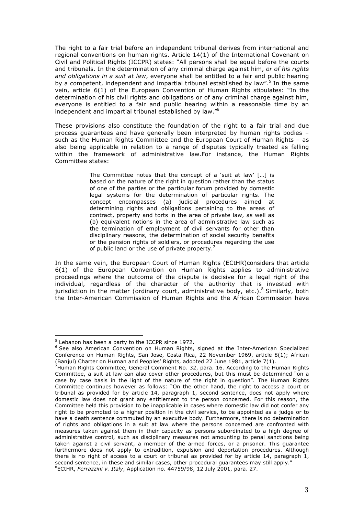The right to a fair trial before an independent tribunal derives from international and regional conventions on human rights. Article 14(1) of the International Covenant on Civil and Political Rights (ICCPR) states: "All persons shall be equal before the courts and tribunals. In the determination of any criminal charge against him, *or of his rights and obligations in a suit at law*, everyone shall be entitled to a fair and public hearing by a competent, independent and impartial tribunal established by law".<sup>5</sup> In the same vein, article 6(1) of the European Convention of Human Rights stipulates: "In the determination of his civil rights and obligations or of any criminal charge against him, everyone is entitled to a fair and public hearing within a reasonable time by an independent and impartial tribunal established by law."6

These provisions also constitute the foundation of the right to a fair trial and due process guarantees and have generally been interpreted by human rights bodies – such as the Human Rights Committee and the European Court of Human Rights – as also being applicable in relation to a range of disputes typically treated as falling within the framework of administrative law.For instance, the Human Rights Committee states:

> The Committee notes that the concept of a 'suit at law' […] is based on the nature of the right in question rather than the status of one of the parties or the particular forum provided by domestic legal systems for the determination of particular rights. The concept encompasses (a) judicial procedures aimed at determining rights and obligations pertaining to the areas of contract, property and torts in the area of private law, as well as (b) equivalent notions in the area of administrative law such as the termination of employment of civil servants for other than disciplinary reasons, the determination of social security benefits or the pension rights of soldiers, or procedures regarding the use of public land or the use of private property.<sup>7</sup>

In the same vein, the European Court of Human Rights (ECtHR)considers that article 6(1) of the European Convention on Human Rights applies to administrative proceedings where the outcome of the dispute is decisive for a legal right of the individual, regardless of the character of the authority that is invested with jurisdiction in the matter (ordinary court, administrative body, etc.).<sup>8</sup> Similarly, both the Inter-American Commission of Human Rights and the African Commission have

 $5$  Lebanon has been a party to the ICCPR since 1972.

<sup>&</sup>lt;sup>6</sup> See also American Convention on Human Rights, signed at the Inter-American Specialized Conference on Human Rights, San Jose, Costa Rica, 22 November 1969, article 8(1); African

<sup>(</sup>Banjul) Charter on Human and Peoples' Rights, adopted 27 June 1981, article 7(1).<br><sup>7</sup>Human Rights Committee, General Comment No. 32, para. 16. According to the Human Rights Committee, a suit at law can also cover other procedures, but this must be determined "on a case by case basis in the light of the nature of the right in question". The Human Rights Committee continues however as follows: "On the other hand, the right to access a court or tribunal as provided for by article 14, paragraph 1, second sentence, does not apply where domestic law does not grant any entitlement to the person concerned. For this reason, the Committee held this provision to be inapplicable in cases where domestic law did not confer any right to be promoted to a higher position in the civil service, to be appointed as a judge or to have a death sentence commuted by an executive body. Furthermore, there is no determination of rights and obligations in a suit at law where the persons concerned are confronted with measures taken against them in their capacity as persons subordinated to a high degree of administrative control, such as disciplinary measures not amounting to penal sanctions being taken against a civil servant, a member of the armed forces, or a prisoner. This guarantee furthermore does not apply to extradition, expulsion and deportation procedures. Although there is no right of access to a court or tribunal as provided for by article 14, paragraph 1, second sentence, in these and similar cases, other procedural guarantees may still apply." 8 ECtHR, *Ferrazzini v. Italy*, Application no. 44759/98, 12 July 2001, para. 27.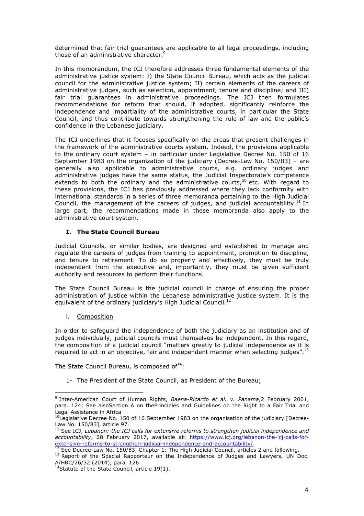determined that fair trial guarantees are applicable to all legal proceedings, including those of an administrative character. 9

In this memorandum, the ICJ therefore addresses three fundamental elements of the administrative justice system: I) the State Council Bureau, which acts as the judicial council for the administrative justice system; II) certain elements of the careers of administrative judges, such as selection, appointment, tenure and discipline; and III) fair trial guarantees in administrative proceedings. The ICJ then formulates recommendations for reform that should, if adopted, significantly reinforce the independence and impartiality of the administrative courts, in particular the State Council, and thus contribute towards strengthening the rule of law and the public's confidence in the Lebanese judiciary.

The ICJ underlines that it focuses specifically on the areas that present challenges in the framework of the administrative courts system. Indeed, the provisions applicable to the ordinary court system – in particular under Legislative Decree No. 150 of 16 September 1983 on the organization of the judiciary (Decree-Law No. 150/83) – are generally also applicable to administrative courts, e.g. ordinary judges and administrative judges have the same status, the Judicial Inspectorate's competence extends to both the ordinary and the administrative courts,<sup>10</sup> etc. With regard to these provisions, the ICJ has previously addressed where they lack conformity with international standards in a series of three memoranda pertaining to the High Judicial Council, the management of the careers of judges, and judicial accountability.<sup>11</sup> In large part, the recommendations made in these memoranda also apply to the administrative court system.

## **I. The State Council Bureau**

Judicial Councils, or similar bodies, are designed and established to manage and regulate the careers of judges from training to appointment, promotion to discipline, and tenure to retirement. To do so properly and effectively, they must be truly independent from the executive and, importantly, they must be given sufficient authority and resources to perform their functions.

The State Council Bureau is the judicial council in charge of ensuring the proper administration of justice within the Lebanese administrative justice system. It is the equivalent of the ordinary judiciary's High Judicial Council.<sup>12</sup>

#### i. Composition

 

In order to safeguard the independence of both the judiciary as an institution and of judges individually, judicial councils must themselves be independent. In this regard, the composition of a judicial council "matters greatly to judicial independence as it is required to act in an objective, fair and independent manner when selecting judges".<sup>13</sup>

The State Council Bureau, is composed of $^{14}$ :

1- The President of the State Council, as President of the Bureau;

<sup>9</sup> Inter-American Court of Human Rights, *Baena-Ricardo et al. v. Panama,*2 February 2001, para. 124; See alsoSection A on thePrinciples and Guidelines on the Right to a Fair Trial and Legal Assistance in Africa

<sup>&</sup>lt;sup>10</sup>Legislative Decree No. 150 of 16 September 1983 on the organisation of the judiciary [Decree-Law No. 150/83], article 97.

<sup>&</sup>lt;sup>11</sup> See ICJ, Lebanon: the ICJ calls for extensive reforms to strengthen judicial independence and *accountability*, 28 February 2017, available at: https://www.icj.org/lebanon-the-icj-calls-forextensive-reforms-to-strengthen-judicial-independence-and-accountability/.<br><sup>12</sup> See Decree-Law No. 150/83, Chapter 1: The High Judicial Council, articles 2 and following.

<sup>&</sup>lt;sup>13</sup> Report of the Special Rapporteur on the Independence of Judges and Lawyers, UN Doc. A/HRC/26/32 (2014), para. 126.

 $14$ Statute of the State Council, article 19(1).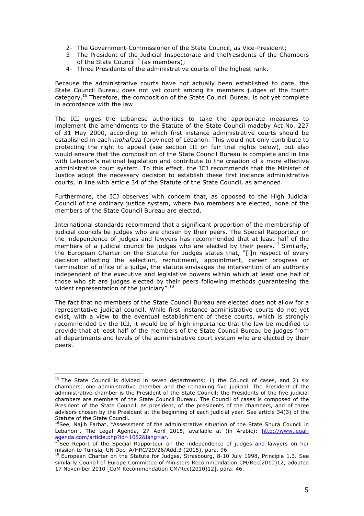- 2- The Government-Commissioner of the State Council, as Vice-President;
- 3- The President of the Judicial Inspectorate and thePresidents of the Chambers of the State Council<sup>15</sup> (as members);
- 4- Three Presidents of the administrative courts of the highest rank.

Because the administrative courts have not actually been established to date, the State Council Bureau does not yet count among its members judges of the fourth category.<sup>16</sup> Therefore, the composition of the State Council Bureau is not yet complete in accordance with the law.

The ICJ urges the Lebanese authorities to take the appropriate measures to implement the amendments to the Statute of the State Council madeby Act No. 227 of 31 May 2000, according to which first instance administrative courts should be established in each *mohafaza* (province) of Lebanon. This would not only contribute to protecting the right to appeal (see section III on fair trial rights below), but also would ensure that the composition of the State Council Bureau is complete and in line with Lebanon's national legislation and contribute to the creation of a more effective administrative court system. To this effect, the ICJ recommends that the Minister of Justice adopt the necessary decision to establish these first instance administrative courts, in line with article 34 of the Statute of the State Council, as amended.

Furthermore, the ICJ observes with concern that, as opposed to the High Judicial Council of the ordinary justice system, where two members are elected, none of the members of the State Council Bureau are elected.

International standards recommend that a significant proportion of the membership of judicial councils be judges who are chosen by their peers. The Special Rapporteur on the independence of judges and lawyers has recommended that at least half of the members of a judicial council be judges who are elected by their peers.<sup>17</sup> Similarly, the European Charter on the Statute for Judges states that, "[i]n respect of every decision affecting the selection, recruitment, appointment, career progress or termination of office of a judge, the statute envisages the intervention of an authority independent of the executive and legislative powers within which at least one half of those who sit are judges elected by their peers following methods guaranteeing the widest representation of the judiciary".<sup>18</sup>

The fact that no members of the State Council Bureau are elected does not allow for a representative judicial council. While first instance administrative courts do not yet exist, with a view to the eventual establishment of these courts, which is strongly recommended by the ICJ, it would be of high importance that the law be modified to provide that at least half of the members of the State Council Bureau be judges from all departments and levels of the administrative court system who are elected by their peers.

 $15$  The State Council is divided in seven departments: 1) the Council of cases, and 2) six chambers: one administrative chamber and the remaining five judicial. The President of the administrative chamber is the President of the State Council; the Presidents of the five judicial chambers are members of the State Council Bureau. The Council of cases is composed of the President of the State Council, as president, of the presidents of the chambers, and of three advisors chosen by the President at the beginning of each judicial year. See article 34(3) of the Statute of the State Council.

<sup>&</sup>lt;sup>16</sup>See, Najib Farhat, "Assessment of the administrative situation of the State Shura Council in Lebanon", The Legal Agenda, 27 April 2015, available at (in Arabic): http://www.legalagenda.com/article.php?id=1082&lang=ar.<br><sup>17</sup>See Report of the Special Rapporteur on the independence of judges and lawyers on her

mission to Tunisia, UN Doc. A/HRC/29/26/Add.3 (2015), para. 96.

 $18$  European Charter on the Statute for Judges, Strasbourg, 8-10 July 1998, Principle 1.3. See similarly Council of Europe Committee of Ministers Recommendation CM/Rec(2010)12, adopted 17 November 2010 [CoM Recommendation CM/Rec(2010)12], para. 46.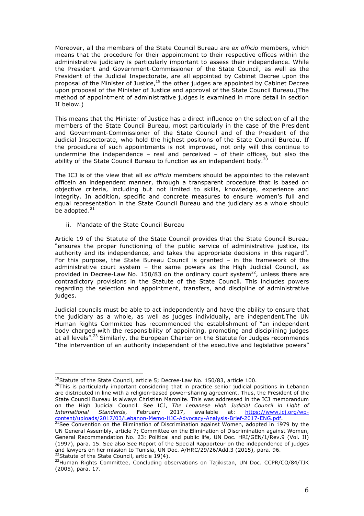Moreover, all the members of the State Council Bureau are *ex officio* members, which means that the procedure for their appointment to their respective offices within the administrative judiciary is particularly important to assess their independence. While the President and Government-Commissioner of the State Council, as well as the President of the Judicial Inspectorate, are all appointed by Cabinet Decree upon the proposal of the Minister of Justice, $19$  the other judges are appointed by Cabinet Decree upon proposal of the Minister of Justice and approval of the State Council Bureau.(The method of appointment of administrative judges is examined in more detail in section II below.)

This means that the Minister of Justice has a direct influence on the selection of all the members of the State Council Bureau, most particularly in the case of the President and Government-Commissioner of the State Council and of the President of the Judicial Inspectorate, who hold the highest positions of the State Council Bureau. If the procedure of such appointments is not improved, not only will this continue to undermine the independence – real and perceived – of their offices, but also the ability of the State Council Bureau to function as an independent body.<sup>20</sup>

The ICJ is of the view that all *ex officio* members should be appointed to the relevant officein an independent manner, through a transparent procedure that is based on objective criteria, including but not limited to skills, knowledge, experience and integrity. In addition, specific and concrete measures to ensure women's full and equal representation in the State Council Bureau and the judiciary as a whole should be adopted.<sup>21</sup>

#### ii. Mandate of the State Council Bureau

 

Article 19 of the Statute of the State Council provides that the State Council Bureau "ensures the proper functioning of the public service of administrative justice, its authority and its independence, and takes the appropriate decisions in this regard". For this purpose, the State Bureau Council is granted – in the framework of the administrative court system – the same powers as the High Judicial Council, as provided in Decree-Law No. 150/83 on the ordinary court system $^{22}$ , unless there are contradictory provisions in the Statute of the State Council. This includes powers regarding the selection and appointment, transfers, and discipline of administrative judges.

Judicial councils must be able to act independently and have the ability to ensure that the judiciary as a whole, as well as judges individually, are independent.The UN Human Rights Committee has recommended the establishment of "an independent body charged with the responsibility of appointing, promoting and disciplining judges at all levels".<sup>23</sup> Similarly, the European Charter on the Statute for Judges recommends "the intervention of an authority independent of the executive and legislative powers"

<sup>&</sup>lt;sup>19</sup>Statute of the State Council, article 5; Decree-Law No. 150/83, article 100.

<sup>&</sup>lt;sup>20</sup>This is particularly important considering that in practice senior judicial positions in Lebanon are distributed in line with a religion-based power-sharing agreement. Thus, the President of the State Council Bureau is always Christian Maronite. This was addressed in the ICJ memorandum on the High Judicial Council. See ICJ, *The Lebanese High Judicial Council in Light of International Standards*, February 2017, available at: https://www.icj.org/wpcontent/uploads/2017/03/Lebanon-Memo-HJC-Advocacy-Analysis-Brief-2017-ENG.pdf.<br><sup>21</sup>See Convention on the Elimination of Discrimination against Women, adopted in 1979 by the

UN General Assembly, article 7; Committee on the Elimination of Discrimination against Women, General Recommendation No. 23: Political and public life, UN Doc. HRI/GEN/1/Rev.9 (Vol. II) (1997), para. 15. See also See Report of the Special Rapporteur on the independence of judges and lawyers on her mission to Tunisia, UN Doc. A/HRC/29/26/Add.3 (2015), para. 96. <sup>22</sup>Statute of the State Council, article 19(4).

<sup>&</sup>lt;sup>23</sup>Human Rights Committee, Concluding observations on Tajikistan, UN Doc. CCPR/CO/84/TJK (2005), para. 17.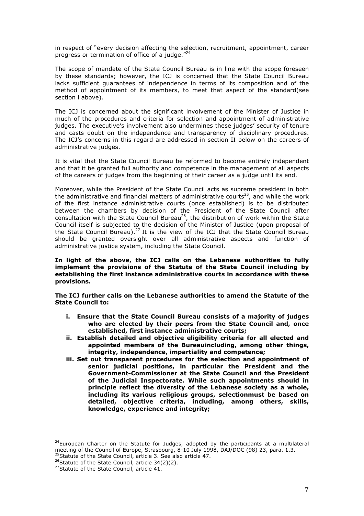in respect of "every decision affecting the selection, recruitment, appointment, career progress or termination of office of a judge."<sup>24</sup>

The scope of mandate of the State Council Bureau is in line with the scope foreseen by these standards; however, the ICJ is concerned that the State Council Bureau lacks sufficient guarantees of independence in terms of its composition and of the method of appointment of its members, to meet that aspect of the standard(see section i above).

The ICJ is concerned about the significant involvement of the Minister of Justice in much of the procedures and criteria for selection and appointment of administrative judges. The executive's involvement also undermines these judges' security of tenure and casts doubt on the independence and transparency of disciplinary procedures. The ICJ's concerns in this regard are addressed in section II below on the careers of administrative judges.

It is vital that the State Council Bureau be reformed to become entirely independent and that it be granted full authority and competence in the management of all aspects of the careers of judges from the beginning of their career as a judge until its end.

Moreover, while the President of the State Council acts as supreme president in both the administrative and financial matters of administrative courts<sup>25</sup>, and while the work of the first instance administrative courts (once established) is to be distributed between the chambers by decision of the President of the State Council after consultation with the State Council Bureau<sup>26</sup>, the distribution of work within the State Council itself is subjected to the decision of the Minister of Justice (upon proposal of the State Council Bureau).27 It is the view of the ICJ that the State Council Bureau should be granted oversight over all administrative aspects and function of administrative justice system, including the State Council.

**In light of the above, the ICJ calls on the Lebanese authorities to fully implement the provisions of the Statute of the State Council including by establishing the first instance administrative courts in accordance with these provisions.**

**The ICJ further calls on the Lebanese authorities to amend the Statute of the State Council to:**

- **i. Ensure that the State Council Bureau consists of a majority of judges who are elected by their peers from the State Council and, once established, first instance administrative courts;**
- **ii. Establish detailed and objective eligibility criteria for all elected and appointed members of the Bureauincluding, among other things, integrity, independence, impartiality and competence;**
- **iii. Set out transparent procedures for the selection and appointment of senior judicial positions, in particular the President and the Government-Commissioner at the State Council and the President of the Judicial Inspectorate. While such appointments should in principle reflect the diversity of the Lebanese society as a whole, including its various religious groups, selectionmust be based on detailed, objective criteria, including, among others, skills, knowledge, experience and integrity;**

 $24$ European Charter on the Statute for Judges, adopted by the participants at a multilateral meeting of the Council of Europe, Strasbourg, 8-10 July 1998, DAJ/DOC (98) 23, para. 1.3. <sup>25</sup>Statute of the State Council, article 3. See also article 47.

<sup>&</sup>lt;sup>26</sup>Statute of the State Council, article  $34(2)(2)$ .

<sup>&</sup>lt;sup>27</sup>Statute of the State Council, article 41.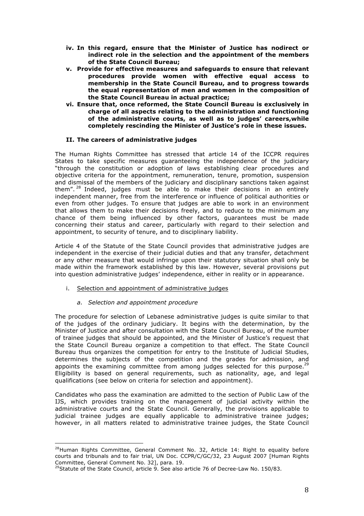- **iv. In this regard, ensure that the Minister of Justice has nodirect or indirect role in the selection and the appointment of the members of the State Council Bureau;**
- **v. Provide for effective measures and safeguards to ensure that relevant procedures provide women with effective equal access to membership in the State Council Bureau, and to progress towards the equal representation of men and women in the composition of the State Council Bureau in actual practice;**
- **vi. Ensure that, once reformed, the State Council Bureau is exclusively in charge of all aspects relating to the administration and functioning of the administrative courts, as well as to judges' careers,while completely rescinding the Minister of Justice's role in these issues.**

#### **II. The careers of administrative judges**

The Human Rights Committee has stressed that article 14 of the ICCPR requires States to take specific measures guaranteeing the independence of the judiciary "through the constitution or adoption of laws establishing clear procedures and objective criteria for the appointment, remuneration, tenure, promotion, suspension and dismissal of the members of the judiciary and disciplinary sanctions taken against them". <sup>28</sup> Indeed, judges must be able to make their decisions in an entirely independent manner, free from the interference or influence of political authorities or even from other judges. To ensure that judges are able to work in an environment that allows them to make their decisions freely, and to reduce to the minimum any chance of them being influenced by other factors, guarantees must be made concerning their status and career, particularly with regard to their selection and appointment, to security of tenure, and to disciplinary liability.

Article 4 of the Statute of the State Council provides that administrative judges are independent in the exercise of their judicial duties and that any transfer, detachment or any other measure that would infringe upon their statutory situation shall only be made within the framework established by this law. However, several provisions put into question administrative judges' independence, either in reality or in appearance.

i. Selection and appointment of administrative judges

# *a. Selection and appointment procedure*

The procedure for selection of Lebanese administrative judges is quite similar to that of the judges of the ordinary judiciary. It begins with the determination, by the Minister of Justice and after consultation with the State Council Bureau, of the number of trainee judges that should be appointed, and the Minister of Justice's request that the State Council Bureau organize a competition to that effect. The State Council Bureau thus organizes the competition for entry to the Institute of Judicial Studies, determines the subjects of the competition and the grades for admission, and appoints the examining committee from among judges selected for this purpose.<sup>29</sup> Eligibility is based on general requirements, such as nationality, age, and legal qualifications (see below on criteria for selection and appointment).

Candidates who pass the examination are admitted to the section of Public Law of the IJS, which provides training on the management of judicial activity within the administrative courts and the State Council. Generally, the provisions applicable to judicial trainee judges are equally applicable to administrative trainee judges; however, in all matters related to administrative trainee judges, the State Council

  $28$ Human Rights Committee, General Comment No. 32, Article 14: Right to equality before courts and tribunals and to fair trial, UN Doc. CCPR/C/GC/32, 23 August 2007 [Human Rights Committee, General Comment No. 32], para. 19.

 $^{29}$ Statute of the State Council, article 9. See also article 76 of Decree-Law No. 150/83.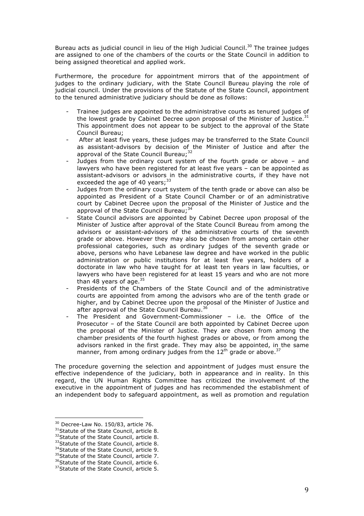Bureau acts as judicial council in lieu of the High Judicial Council.<sup>30</sup> The trainee judges are assigned to one of the chambers of the courts or the State Council in addition to being assigned theoretical and applied work.

Furthermore, the procedure for appointment mirrors that of the appointment of judges to the ordinary judiciary, with the State Council Bureau playing the role of judicial council. Under the provisions of the Statute of the State Council, appointment to the tenured administrative judiciary should be done as follows:

- Trainee judges are appointed to the administrative courts as tenured judges of the lowest grade by Cabinet Decree upon proposal of the Minister of Justice.<sup>31</sup> This appointment does not appear to be subject to the approval of the State Council Bureau;
- After at least five years, these judges may be transferred to the State Council as assistant-advisors by decision of the Minister of Justice and after the approval of the State Council Bureau;<sup>32</sup>
- Judges from the ordinary court system of the fourth grade or above and lawyers who have been registered for at least five years – can be appointed as assistant-advisors or advisors in the administrative courts, if they have not exceeded the age of 40  $years$ :  $33$
- Judges from the ordinary court system of the tenth grade or above can also be appointed as President of a State Council Chamber or of an administrative court by Cabinet Decree upon the proposal of the Minister of Justice and the approval of the State Council Bureau;  $34$
- State Council advisors are appointed by Cabinet Decree upon proposal of the Minister of Justice after approval of the State Council Bureau from among the advisors or assistant-advisors of the administrative courts of the seventh grade or above. However they may also be chosen from among certain other professional categories, such as ordinary judges of the seventh grade or above, persons who have Lebanese law degree and have worked in the public administration or public institutions for at least five years, holders of a doctorate in law who have taught for at least ten years in law faculties, or lawyers who have been registered for at least 15 years and who are not more than 48 years of age. $35$
- Presidents of the Chambers of the State Council and of the administrative courts are appointed from among the advisors who are of the tenth grade or higher, and by Cabinet Decree upon the proposal of the Minister of Justice and after approval of the State Council Bureau.<sup>36</sup>
- The President and Government-Commissioner i.e. the Office of the Prosecutor – of the State Council are both appointed by Cabinet Decree upon the proposal of the Minister of Justice. They are chosen from among the chamber presidents of the fourth highest grades or above, or from among the advisors ranked in the first grade. They may also be appointed, in the same manner, from among ordinary judges from the  $12<sup>th</sup>$  grade or above.<sup>37</sup>

The procedure governing the selection and appointment of judges must ensure the effective independence of the judiciary, both in appearance and in reality. In this regard, the UN Human Rights Committee has criticized the involvement of the executive in the appointment of judges and has recommended the establishment of an independent body to safeguard appointment, as well as promotion and regulation

 $30$  Decree-Law No. 150/83, article 76.

<sup>&</sup>lt;sup>31</sup>Statute of the State Council, article 8.

<sup>&</sup>lt;sup>32</sup>Statute of the State Council, article 8.

<sup>33</sup> Statute of the State Council, article 8.

<sup>&</sup>lt;sup>34</sup>Statute of the State Council, article 9.

<sup>&</sup>lt;sup>35</sup>Statute of the State Council, article 7.

<sup>&</sup>lt;sup>36</sup>Statute of the State Council, article 6.

<sup>&</sup>lt;sup>37</sup>Statute of the State Council, article 5.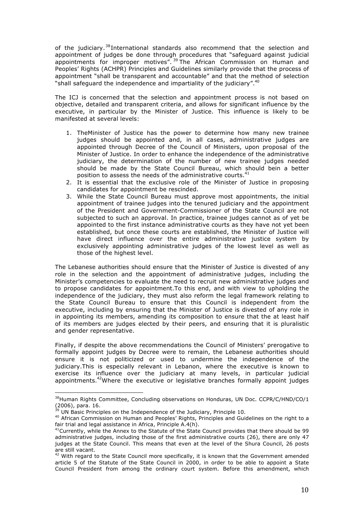of the judiciary.<sup>38</sup>International standards also recommend that the selection and appointment of judges be done through procedures that "safeguard against judicial appointments for improper motives". <sup>39</sup> The African Commission on Human and Peoples' Rights (ACHPR) Principles and Guidelines similarly provide that the process of appointment "shall be transparent and accountable" and that the method of selection "shall safeguard the independence and impartiality of the judiciary".<sup>40</sup>

The ICJ is concerned that the selection and appointment process is not based on objective, detailed and transparent criteria, and allows for significant influence by the executive, in particular by the Minister of Justice. This influence is likely to be manifested at several levels:

- 1. TheMinister of Justice has the power to determine how many new trainee judges should be appointed and, in all cases, administrative judges are appointed through Decree of the Council of Ministers, upon proposal of the Minister of Justice. In order to enhance the independence of the administrative judiciary, the determination of the number of new trainee judges needed should be made by the State Council Bureau, which should bein a better position to assess the needs of the administrative courts.<sup>41</sup>
- 2. It is essential that the exclusive role of the Minister of Justice in proposing candidates for appointment be rescinded.
- 3. While the State Council Bureau must approve most appointments, the initial appointment of trainee judges into the tenured judiciary and the appointment of the President and Government-Commissioner of the State Council are not subjected to such an approval. In practice, trainee judges cannot as of yet be appointed to the first instance administrative courts as they have not yet been established, but once these courts are established, the Minister of Justice will have direct influence over the entire administrative justice system by exclusively appointing administrative judges of the lowest level as well as those of the highest level.

The Lebanese authorities should ensure that the Minister of Justice is divested of any role in the selection and the appointment of administrative judges, including the Minister's competencies to evaluate the need to recruit new administrative judges and to propose candidates for appointment.To this end, and with view to upholding the independence of the judiciary, they must also reform the legal framework relating to the State Council Bureau to ensure that this Council is independent from the executive, including by ensuring that the Minister of Justice is divested of any role in in appointing its members, amending its composition to ensure that the at least half of its members are judges elected by their peers, and ensuring that it is pluralistic and gender representative.

Finally, if despite the above recommendations the Council of Ministers' prerogative to formally appoint judges by Decree were to remain, the Lebanese authorities should ensure it is not politicized or used to undermine the independence of the judiciary.This is especially relevant in Lebanon, where the executive is known to exercise its influence over the judiciary at many levels, in particular judicial appointments.<sup>42</sup>Where the executive or legislative branches formally appoint judges

 $38$ Human Rights Committee, Concluding observations on Honduras, UN Doc. CCPR/C/HND/CO/1  $(2006)$ , para. 16.

UN Basic Principles on the Independence of the Judiciary, Principle 10.

 $40$  African Commission on Human and Peoples' Rights, Principles and Guidelines on the right to a fair trial and legal assistance in Africa, Principle A.4(h).

 $41$ Currently, while the Annex to the Statute of the State Council provides that there should be 99 administrative judges, including those of the first administrative courts (26), there are only 47 judges at the State Council. This means that even at the level of the Shura Council, 26 posts are still vacant.

 $42$  With regard to the State Council more specifically, it is known that the Government amended article 5 of the Statute of the State Council in 2000, in order to be able to appoint a State Council President from among the ordinary court system. Before this amendment, which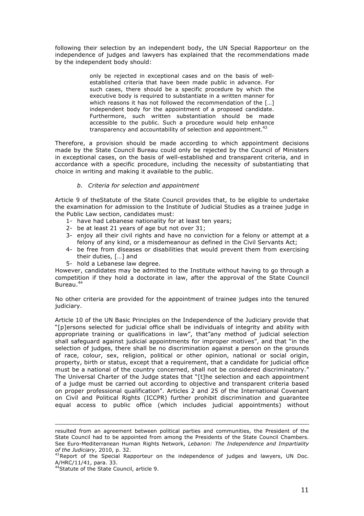following their selection by an independent body, the UN Special Rapporteur on the independence of judges and lawyers has explained that the recommendations made by the independent body should:

> only be rejected in exceptional cases and on the basis of wellestablished criteria that have been made public in advance. For such cases, there should be a specific procedure by which the executive body is required to substantiate in a written manner for which reasons it has not followed the recommendation of the [...] independent body for the appointment of a proposed candidate. Furthermore, such written substantiation should be made accessible to the public. Such a procedure would help enhance transparency and accountability of selection and appointment.<sup>43</sup>

Therefore, a provision should be made according to which appointment decisions made by the State Council Bureau could only be rejected by the Council of Ministers in exceptional cases, on the basis of well-established and transparent criteria, and in accordance with a specific procedure, including the necessity of substantiating that choice in writing and making it available to the public.

#### *b. Criteria for selection and appointment*

Article 9 of theStatute of the State Council provides that, to be eligible to undertake the examination for admission to the Institute of Judicial Studies as a trainee judge in the Public Law section, candidates must:

- 1- have had Lebanese nationality for at least ten years;
- 2- be at least 21 years of age but not over 31;
- 3- enjoy all their civil rights and have no conviction for a felony or attempt at a felony of any kind, or a misdemeanour as defined in the Civil Servants Act;
- 4- be free from diseases or disabilities that would prevent them from exercising their duties, […] and
- 5- hold a Lebanese law degree.

However, candidates may be admitted to the Institute without having to go through a competition if they hold a doctorate in law, after the approval of the State Council Bureau.<sup>44</sup>

No other criteria are provided for the appointment of trainee judges into the tenured judiciary.

Article 10 of the UN Basic Principles on the Independence of the Judiciary provide that "[p]ersons selected for judicial office shall be individuals of integrity and ability with appropriate training or qualifications in law", that"any method of judicial selection shall safeguard against judicial appointments for improper motives", and that "in the selection of judges, there shall be no discrimination against a person on the grounds of race, colour, sex, religion, political or other opinion, national or social origin, property, birth or status, except that a requirement, that a candidate for judicial office must be a national of the country concerned, shall not be considered discriminatory." The Universal Charter of the Judge states that "[t]he selection and each appointment of a judge must be carried out according to objective and transparent criteria based on proper professional qualification". Articles 2 and 25 of the International Covenant on Civil and Political Rights (ICCPR) further prohibit discrimination and guarantee equal access to public office (which includes judicial appointments) without

<u> 1989 - Andrea San Andrea San Andrea San Andrea San Andrea San Andrea San Andrea San Andrea San Andrea San A</u>

resulted from an agreement between political parties and communities, the President of the State Council had to be appointed from among the Presidents of the State Council Chambers. See Euro-Mediterranean Human Rights Network, *Lebanon: The Independence and Impartiality of the Judiciary*, 2010, p. 32.

 $43$ Report of the Special Rapporteur on the independence of judges and lawyers, UN Doc. A/HRC/11/41, para. 33.

<sup>&</sup>lt;sup>44</sup>Statute of the State Council, article 9.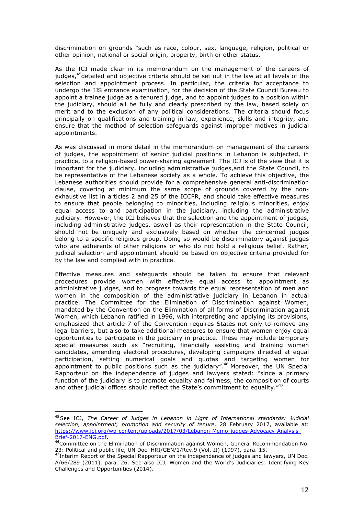discrimination on grounds "such as race, colour, sex, language, religion, political or other opinion, national or social origin, property, birth or other status.

As the ICJ made clear in its memorandum on the management of the careers of judges,<sup>45</sup>detailed and objective criteria should be set out in the law at all levels of the selection and appointment process. In particular, the criteria for acceptance to undergo the IJS entrance examination, for the decision of the State Council Bureau to appoint a trainee judge as a tenured judge, and to appoint judges to a position within the judiciary, should all be fully and clearly prescribed by the law, based solely on merit and to the exclusion of any political considerations. The criteria should focus principally on qualifications and training in law, experience, skills and integrity, and ensure that the method of selection safeguards against improper motives in judicial appointments.

As was discussed in more detail in the memorandum on management of the careers of judges, the appointment of senior judicial positions in Lebanon is subjected, in practice, to a religion-based power-sharing agreement. The ICJ is of the view that it is important for the judiciary, including administrative judges,and the State Council, to be representative of the Lebanese society as a whole. To achieve this objective, the Lebanese authorities should provide for a comprehensive general anti-discrimination clause, covering at minimum the same scope of grounds covered by the nonexhaustive list in articles 2 and 25 of the ICCPR, and should take effective measures to ensure that people belonging to minorities, including religious minorities, enjoy equal access to and participation in the judiciary, including the administrative judiciary. However, the ICJ believes that the selection and the appointment of judges, including administrative judges, aswell as their representation in the State Council, should not be uniquely and exclusively based on whether the concerned judges belong to a specific religious group. Doing so would be discriminatory against judges who are adherents of other religions or who do not hold a religious belief. Rather, judicial selection and appointment should be based on objective criteria provided for by the law and complied with in practice.

Effective measures and safeguards should be taken to ensure that relevant procedures provide women with effective equal access to appointment as administrative judges, and to progress towards the equal representation of men and women in the composition of the administrative judiciary in Lebanon in actual practice. The Committee for the Elimination of Discrimination against Women, mandated by the Convention on the Elimination of all forms of Discrimination against Women, which Lebanon ratified in 1996, with interpreting and applying its provisions, emphasized that article 7 of the Convention requires States not only to remove any legal barriers, but also to take additional measures to ensure that women enjoy equal opportunities to participate in the judiciary in practice. These may include temporary special measures such as "recruiting, financially assisting and training women candidates, amending electoral procedures, developing campaigns directed at equal participation, setting numerical goals and quotas and targeting women for appointment to public positions such as the judiciary".<sup>46</sup> Moreover, the UN Special Rapporteur on the independence of judges and lawyers stated: "since a primary function of the judiciary is to promote equality and fairness, the composition of courts and other judicial offices should reflect the State's commitment to equality."<sup>47</sup>

<sup>45</sup>See ICJ, *The Career of Judges in Lebanon in Light of International standards: Judicial selection, appointment, promotion and security of tenure*, 28 February 2017, available at: https://www.icj.org/wp-content/uploads/2017/03/Lebanon-Memo-judges-Advocacy-Analysis-

Brief-2017-ENG.pdf.<br>Brief-2017-ENG.pdf.<br><sup>46</sup>Committee on the Elimination of Discrimination against Women, General Recommendation No. 23: Political and public life, UN Doc. HRI/GEN/1/Rev.9 (Vol. II) (1997), para. 15.

<sup>&</sup>lt;sup>47</sup>Interim Report of the Special Rapporteur on the independence of judges and lawyers, UN Doc. A/66/289 (2011), para. 26. See also ICJ, Women and the World's Judiciaries: Identifying Key Challenges and Opportunities (2014).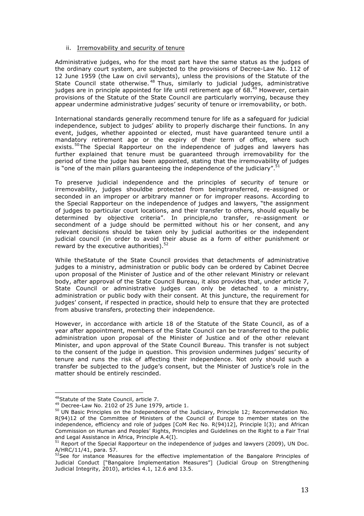#### ii. Irremovability and security of tenure

Administrative judges, who for the most part have the same status as the judges of the ordinary court system, are subjected to the provisions of Decree-Law No. 112 of 12 June 1959 (the Law on civil servants), unless the provisions of the Statute of the State Council state otherwise.<sup>48</sup> Thus, similarly to judicial judges, administrative judges are in principle appointed for life until retirement age of 68.<sup>49</sup> However, certain provisions of the Statute of the State Council are particularly worrying, because they appear undermine administrative judges' security of tenure or irremovability, or both.

International standards generally recommend tenure for life as a safeguard for judicial independence, subject to judges' ability to properly discharge their functions. In any event, judges, whether appointed or elected, must have guaranteed tenure until a mandatory retirement age or the expiry of their term of office, where such exists.<sup>50</sup>The Special Rapporteur on the independence of judges and lawyers has further explained that tenure must be guaranteed through irremovability for the period of time the judge has been appointed, stating that the irremovability of judges is "one of the main pillars guaranteeing the independence of the judiciary".  $51$ 

To preserve judicial independence and the principles of security of tenure or irremovability, judges shouldbe protected from beingtransferred, re-assigned or seconded in an improper or arbitrary manner or for improper reasons. According to the Special Rapporteur on the independence of judges and lawyers, "the assignment of judges to particular court locations, and their transfer to others, should equally be determined by objective criteria". In principle,no transfer, re-assignment or secondment of a judge should be permitted without his or her consent, and any relevant decisions should be taken only by judicial authorities or the independent judicial council (in order to avoid their abuse as a form of either punishment or reward by the executive authorities). $52$ 

While theStatute of the State Council provides that detachments of administrative judges to a ministry, administration or public body can be ordered by Cabinet Decree upon proposal of the Minister of Justice and of the other relevant Ministry or relevant body, after approval of the State Council Bureau, it also provides that, under article 7, State Council or administrative judges can only be detached to a ministry, administration or public body with their consent. At this juncture, the requirement for judges' consent, if respected in practice, should help to ensure that they are protected from abusive transfers, protecting their independence.

However, in accordance with article 18 of the Statute of the State Council, as of a year after appointment, members of the State Council can be transferred to the public administration upon proposal of the Minister of Justice and of the other relevant Minister, and upon approval of the State Council Bureau. This transfer is not subject to the consent of the judge in question. This provision undermines judges' security of tenure and runs the risk of affecting their independence. Not only should such a transfer be subjected to the judge's consent, but the Minister of Justice's role in the matter should be entirely rescinded.

<sup>48</sup>Statute of the State Council, article 7.

<sup>49</sup> Decree-Law No. 2102 of 25 June 1979, article 1.

<sup>&</sup>lt;sup>50</sup> UN Basic Principles on the Independence of the Judiciary, Principle 12; Recommendation No. R(94)12 of the Committee of Ministers of the Council of Europe to member states on the independence, efficiency and role of judges [CoM Rec No. R(94)12], Principle I(3); and African Commission on Human and Peoples' Rights, Principles and Guidelines on the Right to a Fair Trial and Legal Assistance in Africa, Principle A.4(I).

 $51$  Report of the Special Rapporteur on the independence of judges and lawyers (2009), UN Doc. A/HRC/11/41, para. 57.

 $52$ See for instance Measures for the effective implementation of the Bangalore Principles of Judicial Conduct ["Bangalore Implementation Measures"] (Judicial Group on Strengthening Judicial Integrity, 2010), articles 4.1, 12.6 and 13.5.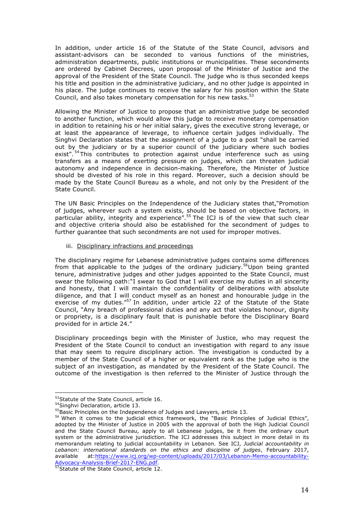In addition, under article 16 of the Statute of the State Council, advisors and assistant-advisors can be seconded to various functions of the ministries, administration departments, public institutions or municipalities. These secondments are ordered by Cabinet Decrees, upon proposal of the Minister of Justice and the approval of the President of the State Council. The judge who is thus seconded keeps his title and position in the administrative judiciary, and no other judge is appointed in his place. The judge continues to receive the salary for his position within the State Council, and also takes monetary compensation for his new tasks.<sup>53</sup>

Allowing the Minister of Justice to propose that an administrative judge be seconded to another function, which would allow this judge to receive monetary compensation in addition to retaining his or her initial salary, gives the executive strong leverage, or at least the appearance of leverage, to influence certain judges individually. The Singhvi Declaration states that the assignment of a judge to a post "shall be carried out by the judiciary or by a superior council of the judiciary where such bodies exist".<sup>54</sup> This contributes to protection against undue interference such as using transfers as a means of exerting pressure on judges, which can threaten judicial autonomy and independence in decision-making. Therefore, the Minister of Justice should be divested of his role in this regard. Moreover, such a decision should be made by the State Council Bureau as a whole, and not only by the President of the State Council.

The UN Basic Principles on the Independence of the Judiciary states that,"Promotion of judges, wherever such a system exists, should be based on objective factors, in particular ability, integrity and experience".<sup>55</sup> The ICJ is of the view that such clear and objective criteria should also be established for the secondment of judges to further guarantee that such secondments are not used for improper motives.

#### iii. Disciplinary infractions and proceedings

The disciplinary regime for Lebanese administrative judges contains some differences from that applicable to the judges of the ordinary judiciary.<sup>56</sup>Upon being granted tenure, administrative judges and other judges appointed to the State Council, must swear the following oath:"I swear to God that I will exercise my duties in all sincerity and honesty, that I will maintain the confidentiality of deliberations with absolute diligence, and that I will conduct myself as an honest and honourable judge in the exercise of my duties."<sup>57</sup> In addition, under article 22 of the Statute of the State Council, "Any breach of professional duties and any act that violates honour, dignity or propriety, is a disciplinary fault that is punishable before the Disciplinary Board provided for in article 24."

Disciplinary proceedings begin with the Minister of Justice, who may request the President of the State Council to conduct an investigation with regard to any issue that may seem to require disciplinary action. The investigation is conducted by a member of the State Council of a higher or equivalent rank as the judge who is the subject of an investigation, as mandated by the President of the State Council. The outcome of the investigation is then referred to the Minister of Justice through the

<sup>53</sup> Statute of the State Council, article 16.

<sup>54</sup> Singhvi Declaration, article 13.

<sup>&</sup>lt;sup>55</sup>Basic Principles on the Independence of Judges and Lawyers, article 13.

<sup>&</sup>lt;sup>56</sup> When it comes to the judicial ethics framework, the "Basic Principles of Judicial Ethics", adopted by the Minister of Justice in 2005 with the approval of both the High Judicial Council and the State Council Bureau, apply to all Lebanese judges, be it from the ordinary court system or the administrative jurisdiction. The ICJ addresses this subject in more detail in its memorandum relating to judicial accountability in Lebanon. See ICJ, *Judicial accountability in Lebanon: international standards on the ethics and discipline of judges*, February 2017, available at:https://www.icj.org/wp-content/uploads/2017/03/Lebanon-Memo-accountability-Advocacy-Analysis-Brief-2017-ENG.pdf. 57Statute of the State Council, article 12.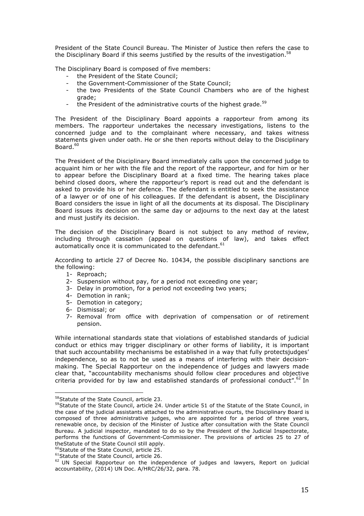President of the State Council Bureau. The Minister of Justice then refers the case to the Disciplinary Board if this seems justified by the results of the investigation.<sup>58</sup>

The Disciplinary Board is composed of five members:

- the President of the State Council;
- the Government-Commissioner of the State Council;
- the two Presidents of the State Council Chambers who are of the highest grade;
- the President of the administrative courts of the highest grade.<sup>59</sup>

The President of the Disciplinary Board appoints a rapporteur from among its members. The rapporteur undertakes the necessary investigations, listens to the concerned judge and to the complainant where necessary, and takes witness statements given under oath. He or she then reports without delay to the Disciplinary Board.<sup>60</sup>

The President of the Disciplinary Board immediately calls upon the concerned judge to acquaint him or her with the file and the report of the rapporteur, and for him or her to appear before the Disciplinary Board at a fixed time. The hearing takes place behind closed doors, where the rapporteur's report is read out and the defendant is asked to provide his or her defence. The defendant is entitled to seek the assistance of a lawyer or of one of his colleagues. If the defendant is absent, the Disciplinary Board considers the issue in light of all the documents at its disposal. The Disciplinary Board issues its decision on the same day or adjourns to the next day at the latest and must justify its decision.

The decision of the Disciplinary Board is not subject to any method of review, including through cassation (appeal on questions of law), and takes effect automatically once it is communicated to the defendant.  $61$ 

According to article 27 of Decree No. 10434, the possible disciplinary sanctions are the following:

- 1- Reproach;
- 2- Suspension without pay, for a period not exceeding one year;
- 3- Delay in promotion, for a period not exceeding two years;
- 4- Demotion in rank;
- 5- Demotion in category;
- 6- Dismissal; or
- 7- Removal from office with deprivation of compensation or of retirement pension.

While international standards state that violations of established standards of judicial conduct or ethics may trigger disciplinary or other forms of liability, it is important that such accountability mechanisms be established in a way that fully protectsjudges' independence, so as to not be used as a means of interfering with their decisionmaking. The Special Rapporteur on the independence of judges and lawyers made clear that, "accountability mechanisms should follow clear procedures and objective criteria provided for by law and established standards of professional conduct". $62$  In

<sup>58</sup>Statute of the State Council, article 23.

<sup>&</sup>lt;sup>59</sup>Statute of the State Council, article 24. Under article 51 of the Statute of the State Council, in the case of the judicial assistants attached to the administrative courts, the Disciplinary Board is composed of three administrative judges, who are appointed for a period of three years, renewable once, by decision of the Minister of Justice after consultation with the State Council Bureau. A judicial inspector, mandated to do so by the President of the Judicial Inspectorate, performs the functions of Government-Commissioner. The provisions of articles 25 to 27 of theStatute of the State Council still apply.<br><sup>60</sup>Statute of the State Council, article 25.

<sup>&</sup>lt;sup>61</sup>Statute of the State Council, article 26.

<sup>&</sup>lt;sup>62</sup> UN Special Rapporteur on the independence of judges and lawyers, Report on judicial accountability, (2014) UN Doc. A/HRC/26/32, para. 78.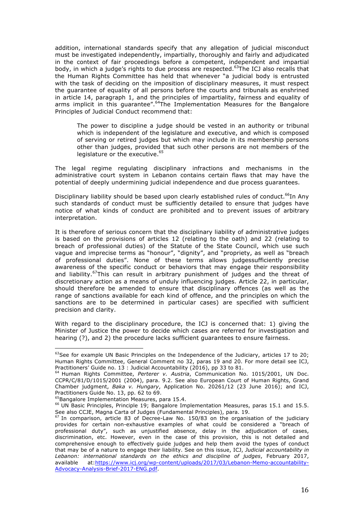addition, international standards specify that any allegation of judicial misconduct must be investigated independently, impartially, thoroughly and fairly and adjudicated in the context of fair proceedings before a competent, independent and impartial body, in which a judge's rights to due process are respected.<sup>63</sup>The ICJ also recalls that the Human Rights Committee has held that whenever "a judicial body is entrusted with the task of deciding on the imposition of disciplinary measures, it must respect the guarantee of equality of all persons before the courts and tribunals as enshrined in article 14, paragraph 1, and the principles of impartiality, fairness and equality of arms implicit in this guarantee".<sup>64</sup>The Implementation Measures for the Bangalore Principles of Judicial Conduct recommend that:

The power to discipline a judge should be vested in an authority or tribunal which is independent of the legislature and executive, and which is composed of serving or retired judges but which may include in its membership persons other than judges, provided that such other persons are not members of the legislature or the executive.<sup>65</sup>

The legal regime regulating disciplinary infractions and mechanisms in the administrative court system in Lebanon contains certain flaws that may have the potential of deeply undermining judicial independence and due process guarantees.

Disciplinary liability should be based upon clearly established rules of conduct.<sup>66</sup>In Any such standards of conduct must be sufficiently detailed to ensure that judges have notice of what kinds of conduct are prohibited and to prevent issues of arbitrary interpretation.

It is therefore of serious concern that the disciplinary liability of administrative judges is based on the provisions of articles 12 (relating to the oath) and 22 (relating to breach of professional duties) of the Statute of the State Council, which use such vague and imprecise terms as "honour", "dignity", and "propriety, as well as "breach of professional duties". None of these terms allows judgessufficiently precise awareness of the specific conduct or behaviors that may engage their responsibility and liability.<sup>67</sup>This can result in arbitrary punishment of judges and the threat of discretionary action as a means of unduly influencing judges. Article 22, in particular, should therefore be amended to ensure that disciplinary offences (as well as the range of sanctions available for each kind of offence, and the principles on which the sanctions are to be determined in particular cases) are specified with sufficient precision and clarity.

With regard to the disciplinary procedure, the ICJ is concerned that: 1) giving the Minister of Justice the power to decide which cases are referred for investigation and hearing (?), and 2) the procedure lacks sufficient guarantees to ensure fairness.

 $63$  See for example UN Basic Principles on the Independence of the Judiciary, articles 17 to 20; Human Rights Committee, General Comment no 32, paras 19 and 20. For more detail see ICJ, Practitioners' Guide no. 13 : Judicial Accountability (2016), pp 33 to 81.

<sup>64</sup> Human Rights Committee, *Perterer v. Austria*, Communication No. 1015/2001, UN Doc. CCPR/C/81/D/1015/2001 (2004), para. 9.2. See also European Court of Human Rights, Grand Chamber judgment, *Baka v. Hungary*, Application No. 20261/12 (23 June 2016); and ICJ, Practitioners Guide No. 13, pp. 62 to 69.

<sup>&</sup>lt;sup>65</sup>Bangalore Implementation Measures, para 15.4.

<sup>&</sup>lt;sup>66</sup> UN Basic Principles, Principle 19; Bangalore Implementation Measures, paras 15.1 and 15.5. See also CCJE, Magna Carta of Judges (Fundamental Principles), para. 19.

 $^{67}$  In comparison, article 83 of Decree-Law No. 150/83 on the organisation of the judiciary provides for certain non-exhaustive examples of what could be considered a "breach of professional duty", such as unjustified absence, delay in the adjudication of cases, discrimination, etc. However, even in the case of this provision, this is not detailed and comprehensive enough to effectively guide judges and help them avoid the types of conduct that may be of a nature to engage their liability. See on this issue, ICJ, *Judicial accountability in Lebanon: international standards on the ethics and discipline of judges*, February 2017, available at:https://www.icj.org/wp-content/uploads/2017/03/Lebanon-Memo-accountability-Advocacy-Analysis-Brief-2017-ENG.pdf.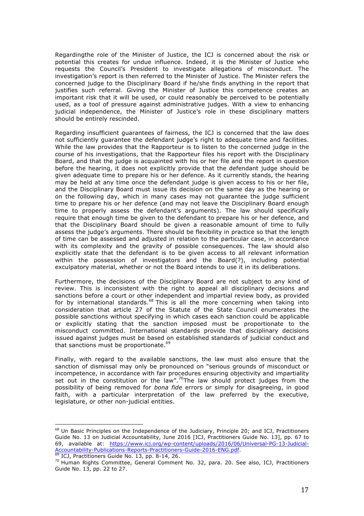Regardingthe role of the Minister of Justice, the ICJ is concerned about the risk or potential this creates for undue influence. Indeed, it is the Minister of Justice who requests the Council's President to investigate allegations of misconduct. The investigation's report is then referred to the Minister of Justice. The Minister refers the concerned judge to the Disciplinary Board if he/she finds anything in the report that justifies such referral. Giving the Minister of Justice this competence creates an important risk that it will be used, or could reasonably be perceived to be potentially used, as a tool of pressure against administrative judges. With a view to enhancing judicial independence, the Minister of Justice's role in these disciplinary matters should be entirely rescinded.

Regarding insufficient guarantees of fairness, the ICJ is concerned that the law does not sufficiently guarantee the defendant judge's right to adequate time and facilities. While the law provides that the Rapporteur is to listen to the concerned judge in the course of his investigations, that the Rapporteur files his report with the Disciplinary Board, and that the judge is acquainted with his or her file and the report in question before the hearing, it does not explicitly provide that the defendant judge should be given adequate time to prepare his or her defence. As it currently stands, the hearing may be held at any time once the defendant judge is given access to his or her file, and the Disciplinary Board must issue its decision on the same day as the hearing or on the following day, which in many cases may not guarantee the judge sufficient time to prepare his or her defence (and may not leave the Disciplinary Board enough time to properly assess the defendant's arguments). The law should specifically require that enough time be given to the defendant to prepare his or her defence, and that the Disciplinary Board should be given a reasonable amount of time to fully assess the judge's arguments. There should be flexibility in practice so that the length of time can be assessed and adjusted in relation to the particular case, in accordance with its complexity and the gravity of possible consequences. The law should also explicitly state that the defendant is to be given access to all relevant information within the possession of investigators and the Board(?), including potential exculpatory material, whether or not the Board intends to use it in its deliberations.

Furthermore, the decisions of the Disciplinary Board are not subject to any kind of review. This is inconsistent with the right to appeal all disciplinary decisions and sanctions before a court or other independent and impartial review body, as provided for by international standards.<sup>68</sup> This is all the more concerning when taking into consideration that article 27 of the Statute of the State Council enumerates the possible sanctions without specifying in which cases each sanction could be applicable or explicitly stating that the sanction imposed must be proportionate to the misconduct committed. International standards provide that disciplinary decisions issued against judges must be based on established standards of judicial conduct and that sanctions must be proportionate.<sup>69</sup>

Finally, with regard to the available sanctions, the law must also ensure that the sanction of dismissal may only be pronounced on "serious grounds of misconduct or incompetence, in accordance with fair procedures ensuring objectivity and impartiality set out in the constitution or the law".<sup>70</sup>The law should protect judges from the possibility of being removed for *bona fide* errors or simply for disagreeing, in good faith, with a particular interpretation of the law preferred by the executive, legislature, or other non-judicial entities.

 $<sup>68</sup>$  Un Basic Principles on the Independence of the Judiciary, Principle 20; and ICJ, Practitioners</sup> Guide No. 13 on Judicial Accountability, June 2016 [ICJ, Practitioners Guide No. 13], pp. 67 to 69, available at: https://www.icj.org/wp-content/uploads/2016/06/Universal-PG-13-Judicial-Accountability-Publications-Reports-Practitioners-Guide-2016-ENG.pdf. 69 ICJ, Practitioners Guide No. 13, pp. 8-14, 26.

<sup>70</sup> Human Rights Committee, General Comment No. 32, para. 20. See also, ICJ, Practitioners Guide No. 13, pp. 22 to 27.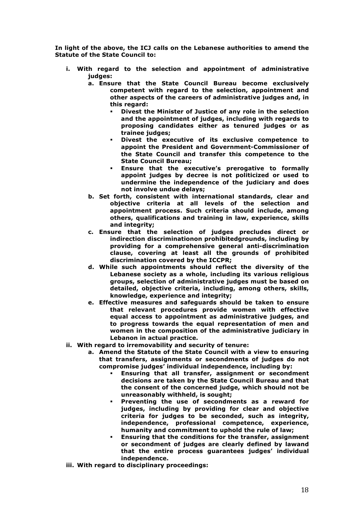**In light of the above, the ICJ calls on the Lebanese authorities to amend the Statute of the State Council to:**

- **i. With regard to the selection and appointment of administrative judges:**
	- **a. Ensure that the State Council Bureau become exclusively competent with regard to the selection, appointment and other aspects of the careers of administrative judges and, in this regard:**
		- § **Divest the Minister of Justice of any role in the selection and the appointment of judges, including with regards to proposing candidates either as tenured judges or as trainee judges;**
		- § **Divest the executive of its exclusive competence to appoint the President and Government-Commissioner of the State Council and transfer this competence to the State Council Bureau;**
		- § **Ensure that the executive's prerogative to formally appoint judges by decree is not politicized or used to undermine the independence of the judiciary and does not involve undue delays;**
	- **b. Set forth, consistent with international standards, clear and objective criteria at all levels of the selection and appointment process. Such criteria should include, among others, qualifications and training in law, experience, skills and integrity;**
	- **c. Ensure that the selection of judges precludes direct or indirection discriminationon prohibitedgrounds, including by providing for a comprehensive general anti-discrimination clause, covering at least all the grounds of prohibited discrimination covered by the ICCPR;**
	- **d. While such appointments should reflect the diversity of the Lebanese society as a whole, including its various religious groups, selection of administrative judges must be based on detailed, objective criteria, including, among others, skills, knowledge, experience and integrity;**
	- **e. Effective measures and safeguards should be taken to ensure that relevant procedures provide women with effective equal access to appointment as administrative judges, and to progress towards the equal representation of men and women in the composition of the administrative judiciary in Lebanon in actual practice.**
- **ii. With regard to irremovability and security of tenure:**
	- **a. Amend the Statute of the State Council with a view to ensuring that transfers, assignments or secondments of judges do not compromise judges' individual independence, including by:**
		- § **Ensuring that all transfer, assignment or secondment decisions are taken by the State Council Bureau and that the consent of the concerned judge, which should not be unreasonably withheld, is sought;**
		- § **Preventing the use of secondments as a reward for judges, including by providing for clear and objective criteria for judges to be seconded, such as integrity, independence, professional competence, experience, humanity and commitment to uphold the rule of law;**
		- § **Ensuring that the conditions for the transfer, assignment or secondment of judges are clearly defined by lawand that the entire process guarantees judges' individual independence.**
- **iii. With regard to disciplinary proceedings:**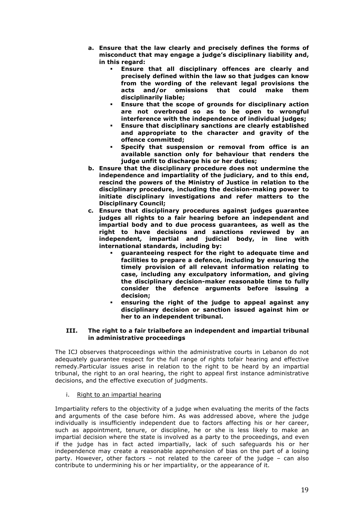- **a. Ensure that the law clearly and precisely defines the forms of misconduct that may engage a judge's disciplinary liability and, in this regard:**
	- § **Ensure that all disciplinary offences are clearly and precisely defined within the law so that judges can know from the wording of the relevant legal provisions the**  and/or omissions that could make them **disciplinarily liable;**
	- § **Ensure that the scope of grounds for disciplinary action are not overbroad so as to be open to wrongful interference with the independence of individual judges;**
	- § **Ensure that disciplinary sanctions are clearly established and appropriate to the character and gravity of the offence committed;**
	- § **Specify that suspension or removal from office is an available sanction only for behaviour that renders the judge unfit to discharge his or her duties;**
- **b. Ensure that the disciplinary procedure does not undermine the independence and impartiality of the judiciary, and to this end, rescind the powers of the Ministry of Justice in relation to the disciplinary procedure, including the decision-making power to initiate disciplinary investigations and refer matters to the Disciplinary Council;**
- **c. Ensure that disciplinary procedures against judges guarantee judges all rights to a fair hearing before an independent and impartial body and to due process guarantees, as well as the right to have decisions and sanctions reviewed by an independent, impartial and judicial body, in line with international standards, including by:**
	- § **guaranteeing respect for the right to adequate time and facilities to prepare a defence, including by ensuring the timely provision of all relevant information relating to case, including any exculpatory information, and giving the disciplinary decision-maker reasonable time to fully consider the defence arguments before issuing a decision;**
	- § **ensuring the right of the judge to appeal against any disciplinary decision or sanction issued against him or her to an independent tribunal.**

#### **III. The right to a fair trialbefore an independent and impartial tribunal in administrative proceedings**

The ICJ observes thatproceedings within the administrative courts in Lebanon do not adequately guarantee respect for the full range of rights tofair hearing and effective remedy.Particular issues arise in relation to the right to be heard by an impartial tribunal, the right to an oral hearing, the right to appeal first instance administrative decisions, and the effective execution of judgments.

i. Right to an impartial hearing

Impartiality refers to the objectivity of a judge when evaluating the merits of the facts and arguments of the case before him. As was addressed above, where the judge individually is insufficiently independent due to factors affecting his or her career, such as appointment, tenure, or discipline, he or she is less likely to make an impartial decision where the state is involved as a party to the proceedings, and even if the judge has in fact acted impartially, lack of such safeguards his or her independence may create a reasonable apprehension of bias on the part of a losing party. However, other factors – not related to the career of the judge – can also contribute to undermining his or her impartiality, or the appearance of it.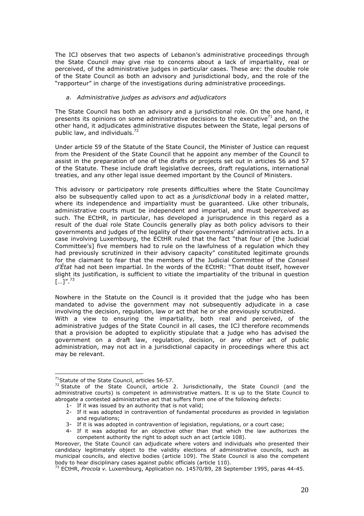The ICJ observes that two aspects of Lebanon's administrative proceedings through the State Council may give rise to concerns about a lack of impartiality, real or perceived, of the administrative judges in particular cases. These are: the double role of the State Council as both an advisory and jurisdictional body, and the role of the "rapporteur" in charge of the investigations during administrative proceedings.

#### *a. Administrative judges as advisors and adjudicators*

The State Council has both an advisory and a jurisdictional role. On the one hand, it presents its opinions on some administrative decisions to the executive<sup>71</sup> and, on the other hand, it adjudicates administrative disputes between the State, legal persons of public law, and individuals. $^{72}$ 

Under article 59 of the Statute of the State Council, the Minister of Justice can request from the President of the State Council that he appoint any member of the Council to assist in the preparation of one of the drafts or projects set out in articles 56 and 57 of the Statute. These include draft legislative decrees, draft regulations, international treaties, and any other legal issue deemed important by the Council of Ministers.

This advisory or participatory role presents difficulties where the State Councilmay also be subsequently called upon to act as a *jurisdictional* body in a related matter, where its independence and impartiality must be guaranteed. Like other tribunals, administrative courts must be independent and impartial, and must be*perceived* as such. The ECtHR, in particular, has developed a jurisprudence in this regard as a result of the dual role State Councils generally play as both policy advisors to their governments and judges of the legality of their governments' administrative acts. In a case involving Luxembourg, the ECtHR ruled that the fact "that four of [the Judicial Committee's] five members had to rule on the lawfulness of a regulation which they had previously scrutinized in their advisory capacity" constituted legitimate grounds for the claimant to fear that the members of the Judicial Committee of the *Conseil d'État* had not been impartial. In the words of the ECtHR: "That doubt itself, however slight its justification, is sufficient to vitiate the impartiality of the tribunal in question  $\left[\ldots\right]$ ".<sup>73</sup>

Nowhere in the Statute on the Council is it provided that the judge who has been mandated to advise the government may not subsequently adjudicate in a case involving the decision, regulation, law or act that he or she previously scrutinized. With a view to ensuring the impartiality, both real and perceived, of the administrative judges of the State Council in all cases, the ICJ therefore recommends that a provision be adopted to explicitly stipulate that a judge who has advised the government on a draft law, regulation, decision, or any other act of public administration, may not act in a jurisdictional capacity in proceedings where this act may be relevant.

<sup>&</sup>lt;sup>71</sup>Statute of the State Council, articles 56-57.<br><sup>72</sup> Statute of the State Council, article 2. Jurisdictionally, the State Council (and the administrative courts) is competent in administrative matters. It is up to the State Council to abrogate a contested administrative act that suffers from one of the following defects:

<sup>1-</sup> If it was issued by an authority that is not valid;

<sup>2-</sup> If it was adopted in contravention of fundamental procedures as provided in legislation and regulations;

<sup>3-</sup> If it is was adopted in contravention of legislation, regulations, or a court case;

<sup>4-</sup> If it was adopted for an objective other than that which the law authorizes the competent authority the right to adopt such an act (article 108).

Moreover, the State Council can adjudicate where voters and individuals who presented their candidacy legitimately object to the validity elections of administrative councils, such as municipal councils, and elective bodies (article 109). The State Council is also the competent body to hear disciplinary cases against public officials (article 110).

<sup>73</sup> ECtHR, *Procola v.* Luxembourg, Application no. 14570/89, 28 September 1995, paras 44-45.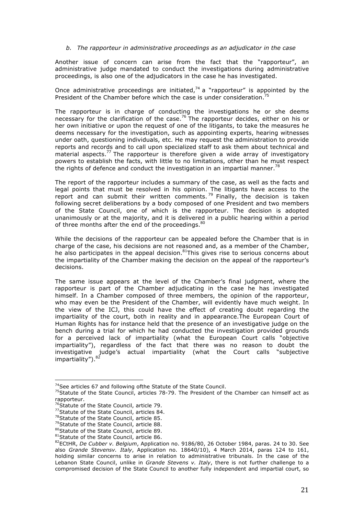#### *b. The rapporteur in administrative proceedings as an adjudicator in the case*

Another issue of concern can arise from the fact that the "rapporteur", an administrative judge mandated to conduct the investigations during administrative proceedings, is also one of the adjudicators in the case he has investigated.

Once administrative proceedings are initiated, $74$  a "rapporteur" is appointed by the President of the Chamber before which the case is under consideration.<sup>7</sup>

The rapporteur is in charge of conducting the investigations he or she deems necessary for the clarification of the case.<sup>76</sup> The rapporteur decides, either on his or her own initiative or upon the request of one of the litigants, to take the measures he deems necessary for the investigation, such as appointing experts, hearing witnesses under oath, questioning individuals, etc. He may request the administration to provide reports and records and to call upon specialized staff to ask them about technical and material aspects.<sup>77</sup> The rapporteur is therefore given a wide array of investigatory powers to establish the facts, with little to no limitations, other than he must respect the rights of defence and conduct the investigation in an impartial manner.<sup>78</sup>

The report of the rapporteur includes a summary of the case, as well as the facts and legal points that must be resolved in his opinion. The litigants have access to the report and can submit their written comments.<sup>79</sup> Finally, the decision is taken following secret deliberations by a body composed of one President and two members of the State Council, one of which is the rapporteur. The decision is adopted unanimously or at the majority, and it is delivered in a public hearing within a period of three months after the end of the proceedings.<sup>80</sup>

While the decisions of the rapporteur can be appealed before the Chamber that is in charge of the case, his decisions are not reasoned and, as a member of the Chamber, he also participates in the appeal decision.<sup>81</sup>This gives rise to serious concerns about the impartiality of the Chamber making the decision on the appeal of the rapporteur's decisions.

The same issue appears at the level of the Chamber's final judgment, where the rapporteur is part of the Chamber adjudicating in the case he has investigated himself. In a Chamber composed of three members, the opinion of the rapporteur, who may even be the President of the Chamber, will evidently have much weight. In the view of the ICJ, this could have the effect of creating doubt regarding the impartiality of the court, both in reality and in appearance.The European Court of Human Rights has for instance held that the presence of an investigative judge on the bench during a trial for which he had conducted the investigation provided grounds for a perceived lack of impartiality (what the European Court calls "objective impartiality"), regardless of the fact that there was no reason to doubt the investigative judge's actual impartiality (what the Court calls "subjective impartiality"). <sup>82</sup>

 $74$ See articles 67 and following ofthe Statute of the State Council.

 $75$ Statute of the State Council, articles 78-79. The President of the Chamber can himself act as rapporteur.

<sup>&</sup>lt;sup>76</sup>Statute of the State Council, article 79.

<sup>77</sup>Statute of the State Council, articles 84.

<sup>&</sup>lt;sup>78</sup>Statute of the State Council, article 85.

<sup>&</sup>lt;sup>79</sup>Statute of the State Council, article 88.

<sup>80</sup> Statute of the State Council, article 89.

<sup>81</sup> Statute of the State Council, article 86.

<sup>82</sup>ECtHR, *De Cubber v. Belgium*, Application no. 9186/80, 26 October 1984, paras. 24 to 30. See also *Grande Stevensv. Italy*, Application no. 18640/10), 4 March 2014, paras 124 to 161, holding similar concerns to arise in relation to administrative tribunals. In the case of the Lebanon State Council, unlike in *Grande Stevens v. Italy*, there is not further challenge to a compromised decision of the State Council to another fully independent and impartial court, so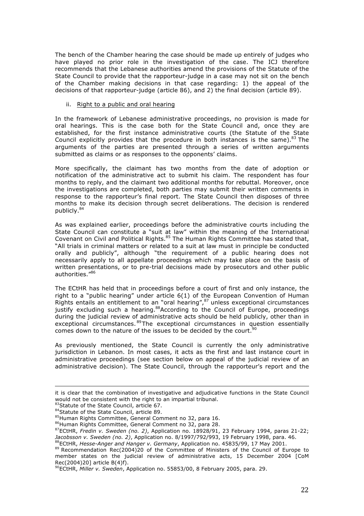The bench of the Chamber hearing the case should be made up entirely of judges who have played no prior role in the investigation of the case. The ICJ therefore recommends that the Lebanese authorities amend the provisions of the Statute of the State Council to provide that the rapporteur-judge in a case may not sit on the bench of the Chamber making decisions in that case regarding: 1) the appeal of the decisions of that rapporteur-judge (article 86), and 2) the final decision (article 89).

#### ii. Right to a public and oral hearing

In the framework of Lebanese administrative proceedings, no provision is made for oral hearings. This is the case both for the State Council and, once they are established, for the first instance administrative courts (the Statute of the State Council explicitly provides that the procedure in both instances is the same). $83$  The arguments of the parties are presented through a series of written arguments submitted as claims or as responses to the opponents' claims.

More specifically, the claimant has two months from the date of adoption or notification of the administrative act to submit his claim. The respondent has four months to reply, and the claimant two additional months for rebuttal. Moreover, once the investigations are completed, both parties may submit their written comments in response to the rapporteur's final report. The State Council then disposes of three months to make its decision through secret deliberations. The decision is rendered publicly.84

As was explained earlier, proceedings before the administrative courts including the State Council can constitute a "suit at law" within the meaning of the International Covenant on Civil and Political Rights.85 The Human Rights Committee has stated that, "All trials in criminal matters or related to a suit at law must in principle be conducted orally and publicly", although "the requirement of a public hearing does not necessarily apply to all appellate proceedings which may take place on the basis of written presentations, or to pre-trial decisions made by prosecutors and other public authorities. $186$ 

The ECtHR has held that in proceedings before a court of first and only instance, the right to a "public hearing" under article 6(1) of the European Convention of Human Rights entails an entitlement to an "oral hearing", $87$  unless exceptional circumstances justify excluding such a hearing.<sup>88</sup>According to the Council of Europe, proceedings during the judicial review of administrative acts should be held publicly, other than in exceptional circumstances.<sup>89</sup>The exceptional circumstances in question essentially comes down to the nature of the issues to be decided by the court. $90$ 

As previously mentioned, the State Council is currently the only administrative jurisdiction in Lebanon. In most cases, it acts as the first and last instance court in administrative proceedings (see section below on appeal of the judicial review of an administrative decision). The State Council, through the rapporteur's report and the

<sup>&</sup>lt;u> 1989 - Andrea San Andrea San Andrea San Andrea San Andrea San Andrea San Andrea San Andrea San Andrea San A</u> it is clear that the combination of investigative and adjudicative functions in the State Council would not be consistent with the right to an impartial tribunal.

<sup>83</sup>Statute of the State Council, article 67.

<sup>84</sup> Statute of the State Council, article 89.

<sup>85</sup>Human Rights Committee, General Comment no 32, para 16.

<sup>86</sup>Human Rights Committee, General Comment no 32, para 28.

<sup>87</sup>ECtHR, *Fredin v. Sweden (no. 2)*, Application no. 18928/91, 23 February 1994, paras 21-22; *Jacobsson v. Sweden (no. 2)*, Application no. 8/1997/792/993, 19 February 1998, para. 46.<br>
ECtHR, Hesse-Anger and Hanger v. Germany, Application no. 45835/99, 17 May 2001.

<sup>89</sup> Recommendation Rec(2004)20 of the Committee of Ministers of the Council of Europe to member states on the judicial review of administrative acts, 15 December 2004 [CoM Rec(2004)20] article B(4)f).

<sup>90</sup>ECtHR, *Miller v. Sweden*, Application no. 55853/00, 8 February 2005, para. 29.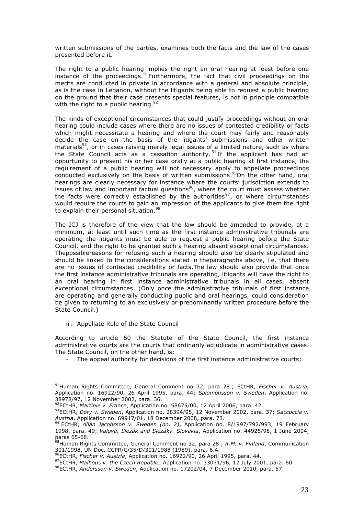written submissions of the parties, examines both the facts and the law of the cases presented before it.

The right to a public hearing implies the right an oral hearing at least before one instance of the proceedings.  $91$  Furthermore, the fact that civil proceedings on the merits are conducted in private in accordance with a general and absolute principle, as is the case in Lebanon, without the litigants being able to request a public hearing on the ground that their case presents special features, is not in principle compatible with the right to a public hearing.<sup>92</sup>

The kinds of exceptional circumstances that could justify proceedings without an oral hearing could include cases where there are no issues of contested credibility or facts which might necessitate a hearing and where the court may fairly and reasonably decide the case on the basis of the litigants' submissions and other written materials<sup>93</sup>, or in cases raising merely legal issues of a limited nature, such as where the State Council acts as a cassation authority.  $94$  If the applicant has had an opportunity to present his or her case orally at a public hearing at first instance, the requirement of a public hearing will not necessary apply to appellate proceedings conducted exclusively on the basis of written submissions.<sup>95</sup>On the other hand, oral hearings are clearly necessary for instance where the courts' jurisdiction extends to issues of law and important factual questions $96$ , where the court must assess whether the facts were correctly established by the authorities<sup>97</sup>, or where circumstances would require the courts to gain an impression of the applicants to give them the right to explain their personal situation.<sup>98</sup>

The ICJ is therefore of the view that the law should be amended to provide, at a minimum, at least until such time as the first instance administrative tribunals are operating the litigants must be able to request a public hearing before the State Council, and the right to be granted such a hearing absent exceptional circumstances. Thepossiblereasons for refusing such a hearing should also be clearly stipulated and should be linked to the considerations stated in theparagraphs above, i.e. that there are no issues of contested credibility or facts.The law should also provide that once the first instance administrative tribunals are operating, litigants will have the right to an oral hearing in first instance administrative tribunals in all cases, absent exceptional circumstances. (Only once the administrative tribunals of first instance are operating and generally conducting public and oral hearings, could consideration be given to returning to an exclusively or predominantly written procedure before the State Council.)

#### iii. Appellate Role of the State Council

 

According to article 60 the Statute of the State Council, the first instance administrative courts are the courts that ordinarily adjudicate in administrative cases. The State Council, on the other hand, is:

The appeal authority for decisions of the first instance administrative courts;

<sup>&</sup>lt;sup>91</sup> Human Rights Committee, General Comment no 32, para 28 ; ECtHR, Fischer v. Austria, Application no. 16922/90, 26 April 1995, para. 44; *Salomonsson v. Sweden*, Application no. 38978/97, 12 November 2002, para. 36.

<sup>92</sup>ECtHR, *Martinie v. France*, Application no. 58675/00, 12 April 2006, para. 42.

<sup>93</sup>ECtHR, *Döry v. Sweden*, Application no. 28394/95, 12 November 2002, para. 37; *Saccoccia v. Austria*, Application no. 69917/01, 18 December 2008, para. 73.

<sup>94</sup> ECtHR, *Allan Jacobsson v. Sweden (no. 2)*, Application no. 8/1997/792/993, 19 February 1998, para. 49; *Valová, Slezák and Slezákv. Slovakia*, Application no. 44925/98, 1 June 2004, paras 65-68.

<sup>&</sup>lt;sup>95</sup>Human Rights Committee, General Comment no 32, para 28 ; *R.M. v. Finland*, Communication 301/1998, UN Doc. CCPR/C/35/D/301/1988 (1989), para. 6.4.

<sup>96</sup>ECtHR, *Fischer v. Austria*, Application no. 16922/90, 26 April 1995, para. 44.

<sup>97</sup>ECtHR, *Malhous v. the Czech Republic*, Application no. 33071/96, 12 July 2001, para. 60.

<sup>98</sup>ECtHR, *Andersson v. Sweden*, Application no. 17202/04, 7 December 2010, para. 57.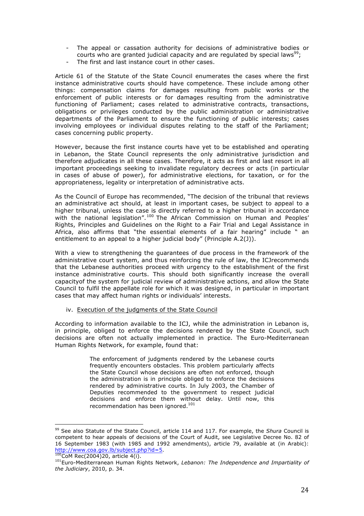- The appeal or cassation authority for decisions of administrative bodies or courts who are granted judicial capacity and are regulated by special laws<sup>99</sup>;
- The first and last instance court in other cases.

Article 61 of the Statute of the State Council enumerates the cases where the first instance administrative courts should have competence. These include among other things: compensation claims for damages resulting from public works or the enforcement of public interests or for damages resulting from the administrative functioning of Parliament; cases related to administrative contracts, transactions, obligations or privileges conducted by the public administration or administrative departments of the Parliament to ensure the functioning of public interests; cases involving employees or individual disputes relating to the staff of the Parliament; cases concerning public property.

However, because the first instance courts have yet to be established and operating in Lebanon, the State Council represents the only administrative jurisdiction and therefore adjudicates in all these cases. Therefore, it acts as first and last resort in all important proceedings seeking to invalidate regulatory decrees or acts (in particular in cases of abuse of power), for administrative elections, for taxation, or for the appropriateness, legality or interpretation of administrative acts.

As the Council of Europe has recommended, "The decision of the tribunal that reviews an administrative act should, at least in important cases, be subject to appeal to a higher tribunal, unless the case is directly referred to a higher tribunal in accordance with the national legislation".<sup>100</sup> The African Commission on Human and Peoples' Rights, Principles and Guidelines on the Right to a Fair Trial and Legal Assistance in Africa, also affirms that "the essential elements of a fair hearing" include " an entitlement to an appeal to a higher judicial body" (Principle A.2(J)).

With a view to strengthening the guarantees of due process in the framework of the administrative court system, and thus reinforcing the rule of law, the ICJrecommends that the Lebanese authorities proceed with urgency to the establishment of the first instance administrative courts. This should both significantly increase the overall capacityof the system for judicial review of administrative actions, and allow the State Council to fulfil the appellate role for which it was designed, in particular in important cases that may affect human rights or individuals' interests.

iv. Execution of the judgments of the State Council

 

According to information available to the ICJ, while the administration in Lebanon is, in principle, obliged to enforce the decisions rendered by the State Council, such decisions are often not actually implemented in practice. The Euro-Mediterranean Human Rights Network, for example, found that:

> The enforcement of judgments rendered by the Lebanese courts frequently encounters obstacles. This problem particularly affects the State Council whose decisions are often not enforced, though the administration is in principle obliged to enforce the decisions rendered by administrative courts. In July 2003, the Chamber of Deputies recommended to the government to respect judicial decisions and enforce them without delay. Until now, this recommendation has been ignored.<sup>101</sup>

<sup>99</sup> See also Statute of the State Council, article 114 and 117. For example, the *Shura* Council is competent to hear appeals of decisions of the Court of Audit, see Legislative Decree No. 82 of 16 September 1983 (with 1985 and 1992 amendments), article 79, available at (in Arabic): http://www.coa.gov.lb/subject.php?id=5.<br><sup>100</sup>CoM Rec(2004)20, article 4(i).

<sup>101</sup>Euro-Mediterranean Human Rights Network, *Lebanon: The Independence and Impartiality of the Judiciary*, 2010, p. 34.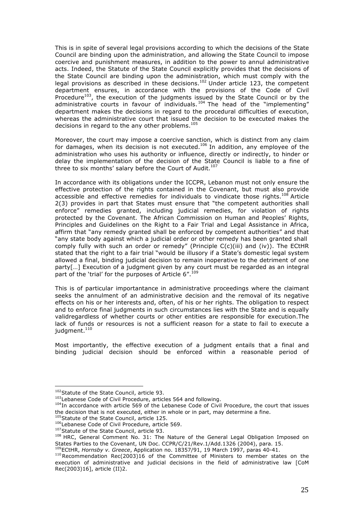This is in spite of several legal provisions according to which the decisions of the State Council are binding upon the administration, and allowing the State Council to impose coercive and punishment measures, in addition to the power to annul administrative acts. Indeed, the Statute of the State Council explicitly provides that the decisions of the State Council are binding upon the administration, which must comply with the legal provisions as described in these decisions.<sup>102</sup> Under article 123, the competent department ensures, in accordance with the provisions of the Code of Civil Procedure<sup>103</sup>, the execution of the judgments issued by the State Council or by the administrative courts in favour of individuals.<sup>104</sup> The head of the "implementing" department makes the decisions in regard to the procedural difficulties of execution, whereas the administrative court that issued the decision to be executed makes the decisions in regard to the any other problems.<sup>105</sup>

Moreover, the court may impose a coercive sanction, which is distinct from any claim for damages, when its decision is not executed.<sup>106</sup> In addition, any employee of the administration who uses his authority or influence, directly or indirectly, to hinder or delay the implementation of the decision of the State Council is liable to a fine of three to six months' salary before the Court of Audit.<sup>107</sup>

In accordance with its obligations under the ICCPR, Lebanon must not only ensure the effective protection of the rights contained in the Covenant, but must also provide accessible and effective remedies for individuals to vindicate those rights.<sup>108</sup> Article 2(3) provides in part that States must ensure that "the competent authorities shall enforce" remedies granted, including judicial remedies, for violation of rights protected by the Covenant. The African Commission on Human and Peoples' Rights, Principles and Guidelines on the Right to a Fair Trial and Legal Assistance in Africa, affirm that "any remedy granted shall be enforced by competent authorities" and that "any state body against which a judicial order or other remedy has been granted shall comply fully with such an order or remedy" (Principle C(c)(iii) and (iv)). The ECtHR stated that the right to a fair trial "would be illusory if a State's domestic legal system allowed a final, binding judicial decision to remain inoperative to the detriment of one party[…] Execution of a judgment given by any court must be regarded as an integral part of the 'trial' for the purposes of Article 6".<sup>109</sup>

This is of particular importantance in administrative proceedings where the claimant seeks the annulment of an administrative decision and the removal of its negative effects on his or her interests and, often, of his or her rights. The obligation to respect and to enforce final judgments in such circumstances lies with the State and is equally validregardless of whether courts or other entities are responsible for execution.The lack of funds or resources is not a sufficient reason for a state to fail to execute a judgment.<sup>110</sup>

Most importantly, the effective execution of a judgment entails that a final and binding judicial decision should be enforced within a reasonable period of

 

<sup>104</sup>In accordance with article 569 of the Lebanese Code of Civil Procedure, the court that issues the decision that is not executed, either in whole or in part, may determine a fine.

<sup>105</sup> Statute of the State Council, article 125.

<sup>&</sup>lt;sup>102</sup> Statute of the State Council, article 93.

<sup>&</sup>lt;sup>103</sup>Lebanese Code of Civil Procedure, articles 564 and following.

<sup>106</sup>Lebanese Code of Civil Procedure, article 569.

<sup>&</sup>lt;sup>107</sup> Statute of the State Council, article 93.

<sup>&</sup>lt;sup>108</sup> HRC, General Comment No. 31: The Nature of the General Legal Obligation Imposed on States Parties to the Covenant, UN Doc. CCPR/C/21/Rev.1/Add.1326 (2004), para. 15.

<sup>109</sup>ECtHR, *Hornsby v. Greece*, Application no. 18357/91, 19 March 1997, paras 40-41.

<sup>110</sup>Recommendation Rec(2003)16 of the Committee of Ministers to member states on the execution of administrative and judicial decisions in the field of administrative law [CoM Rec(2003)16], article (II)2.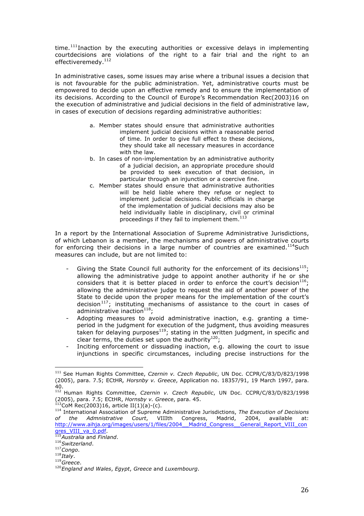time.<sup>111</sup>Inaction by the executing authorities or excessive delays in implementing courtdecisions are violations of the right to a fair trial and the right to an effectiveremedy.<sup>112</sup>

In administrative cases, some issues may arise where a tribunal issues a decision that is not favourable for the public administration. Yet, administrative courts must be empowered to decide upon an effective remedy and to ensure the implementation of its decisions. According to the Council of Europe's Recommendation Rec(2003)16 on the execution of administrative and judicial decisions in the field of administrative law, in cases of execution of decisions regarding administrative authorities:

- a. Member states should ensure that administrative authorities implement judicial decisions within a reasonable period of time. In order to give full effect to these decisions, they should take all necessary measures in accordance with the law.
- b. In cases of non-implementation by an administrative authority of a judicial decision, an appropriate procedure should be provided to seek execution of that decision, in particular through an injunction or a coercive fine.
- c. Member states should ensure that administrative authorities will be held liable where they refuse or neglect to implement judicial decisions. Public officials in charge of the implementation of judicial decisions may also be held individually liable in disciplinary, civil or criminal proceedings if they fail to implement them. $113$

In a report by the International Association of Supreme Administrative Jurisdictions, of which Lebanon is a member, the mechanisms and powers of administrative courts for enforcing their decisions in a large number of countries are examined.<sup>114</sup>Such measures can include, but are not limited to:

- Giving the State Council full authority for the enforcement of its decisions $^{115}$ ; allowing the administrative judge to appoint another authority if he or she considers that it is better placed in order to enforce the court's decision<sup>116</sup>; allowing the administrative judge to request the aid of another power of the State to decide upon the proper means for the implementation of the court's decision<sup>117</sup>; instituting mechanisms of assistance to the court in cases of administrative inaction $118$ :
- Adopting measures to avoid administrative inaction, e.g. granting a timeperiod in the judgment for execution of the judgment, thus avoiding measures taken for delaying purposes $^{119}$ ; stating in the written judgment, in specific and clear terms, the duties set upon the authority $^{120}$ ;
- Inciting enforcement or dissuading inaction, e.g. allowing the court to issue injunctions in specific circumstances, including precise instructions for the

<sup>111</sup> See Human Rights Committee, *Czernin v. Czech Republic*, UN Doc. CCPR/C/83/D/823/1998 (2005), para. 7.5; ECtHR*, Horsnby v. Greece*, Application no. 18357/91, 19 March 1997, para. 40.

<sup>112</sup> Human Rights Committee, *Czernin v. Czech Republic*, UN Doc. CCPR/C/83/D/823/1998 (2005), para. 7.5; ECtHR, *Hornsby v. Greece*, para. 45.

 $3$ CoM Rec(2003)16, article II(1)(a)-(c).

<sup>114</sup> International Association of Supreme Administrative Jurisdictions, *The Execution of Decisions of the Admnistrative Court*, VIIIth Congress, Madrid, 2004, available at: http://www.aihja.org/images/users/1/files/2004\_\_Madrid\_Congress\_\_General\_Report\_VIII\_con gres\_VIII\_va\_0.pdf. 115*Australia* and *Finland*.

<sup>116</sup>*Switzerland*.

<sup>117</sup>*Congo*.

<sup>118</sup>*Italy*.

<sup>119</sup>*Greece*.

<sup>120</sup>*England and Wales*, *Egypt*, *Greece* and *Luxembourg*.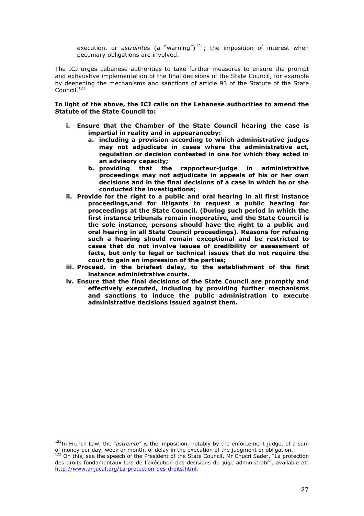execution, or *astreintes* (a "warning")<sup>121</sup>; the imposition of interest when pecuniary obligations are involved.

The ICJ urges Lebanese authorities to take further measures to ensure the prompt and exhaustive implementation of the final decisions of the State Council, for example by deepening the mechanisms and sanctions of article 93 of the Statute of the State Council.<sup>122</sup>

**In light of the above, the ICJ calls on the Lebanese authorities to amend the Statute of the State Council to:**

- **i. Ensure that the Chamber of the State Council hearing the case is impartial in reality and in appearanceby:**
	- **a. including a provision according to which administrative judges may not adjudicate in cases where the administrative act, regulation or decision contested in one for which they acted in an advisory capacity;**
	- **b. providing that the rapporteur-judge in administrative proceedings may not adjudicate in appeals of his or her own decisions and in the final decisions of a case in which he or she conducted the investigations;**
- **ii. Provide for the right to a public and oral hearing in all first instance proceedings,and for litigants to request a public hearing for proceedings at the State Council. (During such period in which the first instance tribunals remain inoperative, and the State Council is the sole instance, persons should have the right to a public and oral hearing in all State Council proceedings). Reasons for refusing such a hearing should remain exceptional and be restricted to cases that do not involve issues of credibility or assessment of facts, but only to legal or technical issues that do not require the court to gain an impression of the parties;**
- **iii. Proceed, in the briefest delay, to the establishment of the first instance administrative courts.**
- **iv. Ensure that the final decisions of the State Council are promptly and effectively executed, including by providing further mechanisms and sanctions to induce the public administration to execute administrative decisions issued against them.**

<sup>&</sup>lt;sup>121</sup>In French Law, the "*astreinte"* is the imposition, notably by the enforcement judge, of a sum<br>of money per day, week or month, of delay in the execution of the judgment or obligation.

 $122$  On this, see the speech of the President of the State Council, Mr Chucri Sader, "La protection des droits fondamentaux lors de l'exécution des décisions du juge administratif", available at: http://www.ahjucaf.org/La-protection-des-droits.html.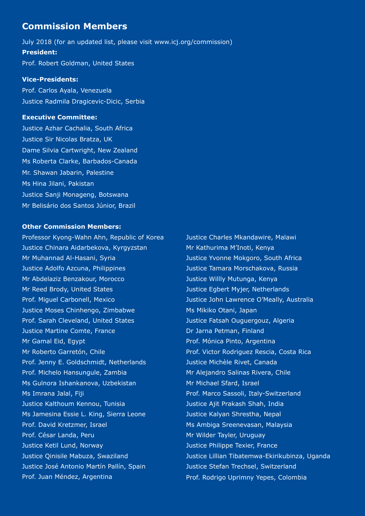# **Commission Members**

July 2018 (for an updated list, please visit www.icj.org/commission) **President:** Prof. Robert Goldman, United States

### **Vice-Presidents:**

Prof. Carlos Ayala, Venezuela Justice Radmila Dragicevic-Dicic, Serbia

## **Executive Committee:**

Justice Azhar Cachalia, South Africa Justice Sir Nicolas Bratza, UK Dame Silvia Cartwright, New Zealand Ms Roberta Clarke, Barbados-Canada Mr. Shawan Jabarin, Palestine Ms Hina Jilani, Pakistan Justice Sanji Monageng, Botswana Mr Belisário dos Santos Júnior, Brazil

# **Other Commission Members:**

Professor Kyong-Wahn Ahn, Republic of Korea Justice Chinara Aidarbekova, Kyrgyzstan Mr Muhannad Al-Hasani, Syria Justice Adolfo Azcuna, Philippines Mr Abdelaziz Benzakour, Morocco Mr Reed Brody, United States Prof. Miguel Carbonell, Mexico Justice Moses Chinhengo, Zimbabwe Prof. Sarah Cleveland, United States Justice Martine Comte, France Mr Gamal Eid, Egypt Mr Roberto Garretón, Chile Prof. Jenny E. Goldschmidt, Netherlands Prof. Michelo Hansungule, Zambia Ms Gulnora Ishankanova, Uzbekistan Ms Imrana Jalal, Fiji Justice Kalthoum Kennou, Tunisia Ms Jamesina Essie L. King, Sierra Leone Prof. David Kretzmer, Israel Prof. César Landa, Peru Justice Ketil Lund, Norway Justice Qinisile Mabuza, Swaziland Justice José Antonio Martín Pallín, Spain Prof. Juan Méndez, Argentina

Justice Charles Mkandawire, Malawi Mr Kathurima M'Inoti, Kenya Justice Yvonne Mokgoro, South Africa Justice Tamara Morschakova, Russia Justice Willly Mutunga, Kenya Justice Egbert Myjer, Netherlands Justice John Lawrence O'Meally, Australia Ms Mikiko Otani, Japan Justice Fatsah Ouguergouz, Algeria Dr Jarna Petman, Finland Prof. Mónica Pinto, Argentina Prof. Victor Rodriguez Rescia, Costa Rica Justice Michèle Rivet, Canada Mr Alejandro Salinas Rivera, Chile Mr Michael Sfard, Israel Prof. Marco Sassoli, Italy-Switzerland Justice Ajit Prakash Shah, India Justice Kalyan Shrestha, Nepal Ms Ambiga Sreenevasan, Malaysia Mr Wilder Tayler, Uruguay Justice Philippe Texier, France Justice Lillian Tibatemwa-Ekirikubinza, Uganda Justice Stefan Trechsel, Switzerland Prof. Rodrigo Uprimny Yepes, Colombia